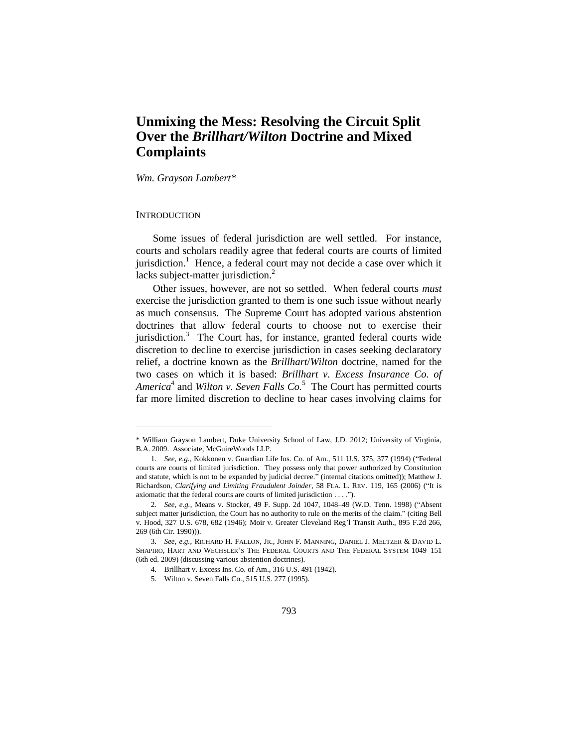# **Unmixing the Mess: Resolving the Circuit Split Over the** *Brillhart/Wilton* **Doctrine and Mixed Complaints**

*Wm. Grayson Lambert\**

#### **INTRODUCTION**

 $\overline{a}$ 

Some issues of federal jurisdiction are well settled. For instance, courts and scholars readily agree that federal courts are courts of limited jurisdiction.<sup>1</sup> Hence, a federal court may not decide a case over which it lacks subject-matter jurisdiction.<sup>2</sup>

Other issues, however, are not so settled. When federal courts *must* exercise the jurisdiction granted to them is one such issue without nearly as much consensus. The Supreme Court has adopted various abstention doctrines that allow federal courts to choose not to exercise their jurisdiction.<sup>3</sup> The Court has, for instance, granted federal courts wide discretion to decline to exercise jurisdiction in cases seeking declaratory relief, a doctrine known as the *Brillhart*/*Wilton* doctrine, named for the two cases on which it is based: *Brillhart v. Excess Insurance Co. of*  America<sup>4</sup> and *Wilton v. Seven Falls Co.*<sup>5</sup> The Court has permitted courts far more limited discretion to decline to hear cases involving claims for

<sup>\*</sup> William Grayson Lambert, Duke University School of Law, J.D. 2012; University of Virginia, B.A. 2009. Associate, McGuireWoods LLP.

<sup>1.</sup> *See, e.g.*, Kokkonen v. Guardian Life Ins. Co. of Am., 511 U.S. 375, 377 (1994) ("Federal courts are courts of limited jurisdiction. They possess only that power authorized by Constitution and statute, which is not to be expanded by judicial decree." (internal citations omitted)); Matthew J. Richardson, *Clarifying and Limiting Fraudulent Joinder*, 58 FLA. L. REV. 119, 165 (2006) ("It is axiomatic that the federal courts are courts of limited jurisdiction . . . .").

<sup>2.</sup> *See, e.g.*, Means v. Stocker, 49 F. Supp. 2d 1047, 1048–49 (W.D. Tenn. 1998) ("Absent subject matter jurisdiction, the Court has no authority to rule on the merits of the claim." (citing Bell v. Hood, 327 U.S. 678, 682 (1946); Moir v. Greater Cleveland Reg'l Transit Auth., 895 F.2d 266, 269 (6th Cir. 1990))).

<sup>3.</sup> *See, e.g.*, RICHARD H. FALLON, JR., JOHN F. MANNING, DANIEL J. MELTZER & DAVID L. SHAPIRO, HART AND WECHSLER'S THE FEDERAL COURTS AND THE FEDERAL SYSTEM 1049–151 (6th ed. 2009) (discussing various abstention doctrines).

<sup>4.</sup> Brillhart v. Excess Ins. Co. of Am., 316 U.S. 491 (1942).

<sup>5.</sup> Wilton v. Seven Falls Co., 515 U.S. 277 (1995).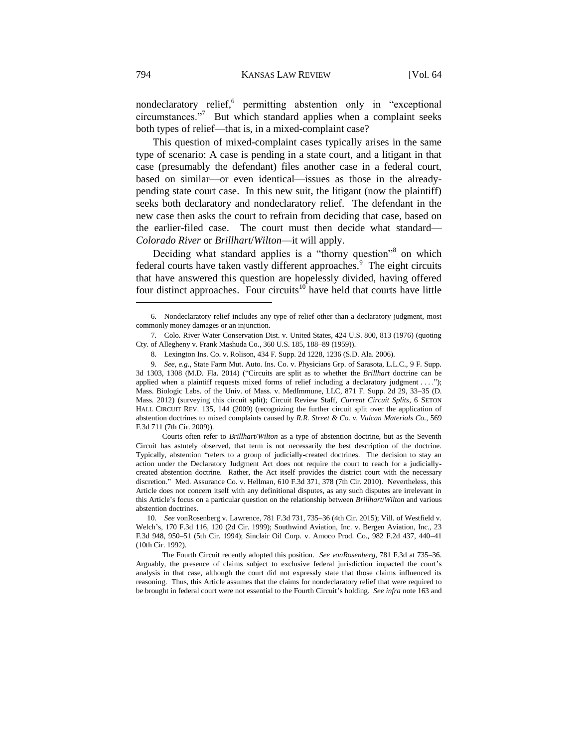nondeclaratory relief,<sup>6</sup> permitting abstention only in "exceptional circumstances."<sup>7</sup> But which standard applies when a complaint seeks both types of relief—that is, in a mixed-complaint case?

This question of mixed-complaint cases typically arises in the same type of scenario: A case is pending in a state court, and a litigant in that case (presumably the defendant) files another case in a federal court, based on similar—or even identical—issues as those in the alreadypending state court case. In this new suit, the litigant (now the plaintiff) seeks both declaratory and nondeclaratory relief. The defendant in the new case then asks the court to refrain from deciding that case, based on the earlier-filed case. The court must then decide what standard— *Colorado River* or *Brillhart*/*Wilton*—it will apply.

Deciding what standard applies is a "thorny question"<sup>8</sup> on which federal courts have taken vastly different approaches. $9$  The eight circuits that have answered this question are hopelessly divided, having offered four distinct approaches. Four circuits<sup>10</sup> have held that courts have little

Courts often refer to *Brillhart*/*Wilton* as a type of abstention doctrine, but as the Seventh Circuit has astutely observed, that term is not necessarily the best description of the doctrine. Typically, abstention "refers to a group of judicially-created doctrines. The decision to stay an action under the Declaratory Judgment Act does not require the court to reach for a judiciallycreated abstention doctrine. Rather, the Act itself provides the district court with the necessary discretion." Med. Assurance Co. v. Hellman, 610 F.3d 371, 378 (7th Cir. 2010). Nevertheless, this Article does not concern itself with any definitional disputes, as any such disputes are irrelevant in this Article's focus on a particular question on the relationship between *Brillhart*/*Wilton* and various abstention doctrines.

<sup>6.</sup> Nondeclaratory relief includes any type of relief other than a declaratory judgment, most commonly money damages or an injunction.

<sup>7.</sup> Colo. River Water Conservation Dist. v. United States, 424 U.S. 800, 813 (1976) (quoting Cty. of Allegheny v. Frank Mashuda Co., 360 U.S. 185, 188–89 (1959)).

<sup>8.</sup> Lexington Ins. Co. v. Rolison, 434 F. Supp. 2d 1228, 1236 (S.D. Ala. 2006).

<sup>9.</sup> *See, e.g.*, State Farm Mut. Auto. Ins. Co. v. Physicians Grp. of Sarasota, L.L.C., 9 F. Supp. 3d 1303, 1308 (M.D. Fla. 2014) ("Circuits are split as to whether the *Brillhart* doctrine can be applied when a plaintiff requests mixed forms of relief including a declaratory judgment . . . ."); Mass. Biologic Labs. of the Univ. of Mass. v. MedImmune, LLC, 871 F. Supp. 2d 29, 33–35 (D. Mass. 2012) (surveying this circuit split); Circuit Review Staff, *Current Circuit Splits*, 6 SETON HALL CIRCUIT REV. 135, 144 (2009) (recognizing the further circuit split over the application of abstention doctrines to mixed complaints caused by *R.R. Street & Co. v. Vulcan Materials Co.*, 569 F.3d 711 (7th Cir. 2009)).

<sup>10.</sup> *See* vonRosenberg v. Lawrence, 781 F.3d 731, 735–36 (4th Cir. 2015); Vill. of Westfield v. Welch's, 170 F.3d 116, 120 (2d Cir. 1999); Southwind Aviation, Inc. v. Bergen Aviation, Inc., 23 F.3d 948, 950–51 (5th Cir. 1994); Sinclair Oil Corp. v. Amoco Prod. Co., 982 F.2d 437, 440–41 (10th Cir. 1992).

The Fourth Circuit recently adopted this position. *See vonRosenberg*, 781 F.3d at 735–36. Arguably, the presence of claims subject to exclusive federal jurisdiction impacted the court's analysis in that case, although the court did not expressly state that those claims influenced its reasoning. Thus, this Article assumes that the claims for nondeclaratory relief that were required to be brought in federal court were not essential to the Fourth Circuit's holding. *See infra* not[e 163](#page-21-0) and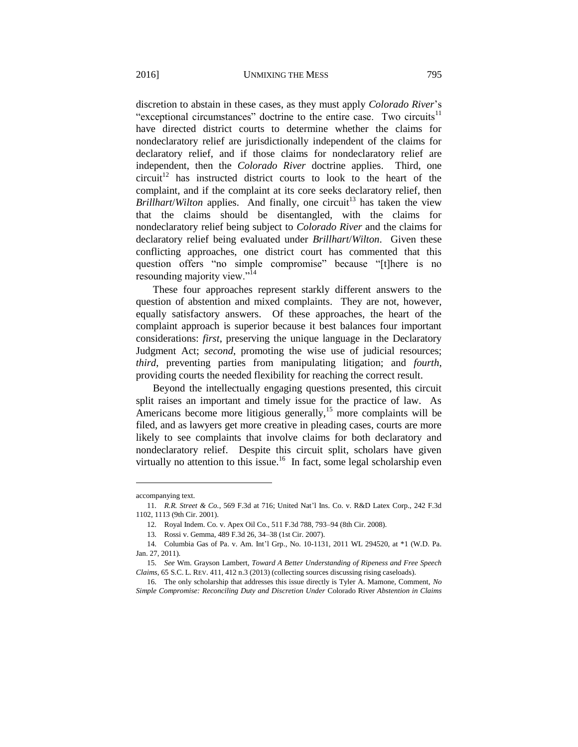discretion to abstain in these cases, as they must apply *Colorado River*'s "exceptional circumstances" doctrine to the entire case. Two circuits<sup>11</sup> have directed district courts to determine whether the claims for nondeclaratory relief are jurisdictionally independent of the claims for declaratory relief, and if those claims for nondeclaratory relief are independent, then the *Colorado River* doctrine applies. Third, one  $circuit<sup>12</sup>$  has instructed district courts to look to the heart of the complaint, and if the complaint at its core seeks declaratory relief, then *Brillhart*/*Wilton* applies. And finally, one circuit<sup>13</sup> has taken the view that the claims should be disentangled, with the claims for nondeclaratory relief being subject to *Colorado River* and the claims for declaratory relief being evaluated under *Brillhart*/*Wilton*. Given these conflicting approaches, one district court has commented that this question offers "no simple compromise" because "[t]here is no resounding majority view."<sup>14</sup>

These four approaches represent starkly different answers to the question of abstention and mixed complaints. They are not, however, equally satisfactory answers. Of these approaches, the heart of the complaint approach is superior because it best balances four important considerations: *first*, preserving the unique language in the Declaratory Judgment Act; *second*, promoting the wise use of judicial resources; *third*, preventing parties from manipulating litigation; and *fourth*, providing courts the needed flexibility for reaching the correct result.

Beyond the intellectually engaging questions presented, this circuit split raises an important and timely issue for the practice of law. As Americans become more litigious generally,<sup>15</sup> more complaints will be filed, and as lawyers get more creative in pleading cases, courts are more likely to see complaints that involve claims for both declaratory and nondeclaratory relief. Despite this circuit split, scholars have given virtually no attention to this issue.<sup>16</sup> In fact, some legal scholarship even

accompanying text.

<sup>11.</sup> *R.R. Street & Co.*, 569 F.3d at 716; United Nat'l Ins. Co. v. R&D Latex Corp., 242 F.3d 1102, 1113 (9th Cir. 2001).

<sup>12.</sup> Royal Indem. Co. v. Apex Oil Co., 511 F.3d 788, 793–94 (8th Cir. 2008).

<sup>13.</sup> Rossi v. Gemma, 489 F.3d 26, 34–38 (1st Cir. 2007).

<sup>14.</sup> Columbia Gas of Pa. v. Am. Int'l Grp., No. 10-1131, 2011 WL 294520, at \*1 (W.D. Pa. Jan. 27, 2011).

<sup>15.</sup> *See* Wm. Grayson Lambert, *Toward A Better Understanding of Ripeness and Free Speech Claims*, 65 S.C. L. REV. 411, 412 n.3 (2013) (collecting sources discussing rising caseloads).

<sup>16.</sup> The only scholarship that addresses this issue directly is Tyler A. Mamone, Comment, *No Simple Compromise: Reconciling Duty and Discretion Under* Colorado River *Abstention in Claims*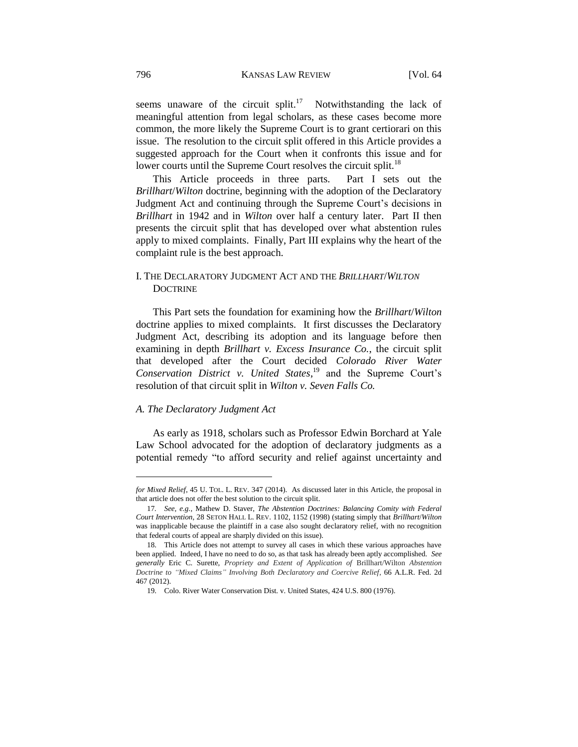seems unaware of the circuit split.<sup>17</sup> Notwithstanding the lack of meaningful attention from legal scholars, as these cases become more common, the more likely the Supreme Court is to grant certiorari on this issue. The resolution to the circuit split offered in this Article provides a suggested approach for the Court when it confronts this issue and for lower courts until the Supreme Court resolves the circuit split.<sup>18</sup>

This Article proceeds in three parts. Part I sets out the *Brillhart*/*Wilton* doctrine, beginning with the adoption of the Declaratory Judgment Act and continuing through the Supreme Court's decisions in *Brillhart* in 1942 and in *Wilton* over half a century later. Part II then presents the circuit split that has developed over what abstention rules apply to mixed complaints. Finally, Part III explains why the heart of the complaint rule is the best approach.

# I. THE DECLARATORY JUDGMENT ACT AND THE *BRILLHART*/*WILTON* **DOCTRINE**

This Part sets the foundation for examining how the *Brillhart*/*Wilton* doctrine applies to mixed complaints. It first discusses the Declaratory Judgment Act, describing its adoption and its language before then examining in depth *Brillhart v. Excess Insurance Co.*, the circuit split that developed after the Court decided *Colorado River Water Conservation District v. United States*, <sup>19</sup> and the Supreme Court's resolution of that circuit split in *Wilton v. Seven Falls Co.*

### *A. The Declaratory Judgment Act*

l

As early as 1918, scholars such as Professor Edwin Borchard at Yale Law School advocated for the adoption of declaratory judgments as a potential remedy "to afford security and relief against uncertainty and

*for Mixed Relief*, 45 U. TOL. L. REV. 347 (2014). As discussed later in this Article, the proposal in that article does not offer the best solution to the circuit split.

<sup>17</sup>*. See, e.g.*, Mathew D. Staver, *The Abstention Doctrines: Balancing Comity with Federal Court Intervention*, 28 SETON HALL L. REV. 1102, 1152 (1998) (stating simply that *Brillhart*/*Wilton*  was inapplicable because the plaintiff in a case also sought declaratory relief, with no recognition that federal courts of appeal are sharply divided on this issue).

<sup>18.</sup> This Article does not attempt to survey all cases in which these various approaches have been applied. Indeed, I have no need to do so, as that task has already been aptly accomplished. *See generally* Eric C. Surette, *Propriety and Extent of Application of* Brillhart/Wilton *Abstention Doctrine to "Mixed Claims" Involving Both Declaratory and Coercive Relief*, 66 A.L.R. Fed. 2d 467 (2012).

<sup>19.</sup> Colo. River Water Conservation Dist. v. United States, 424 U.S. 800 (1976).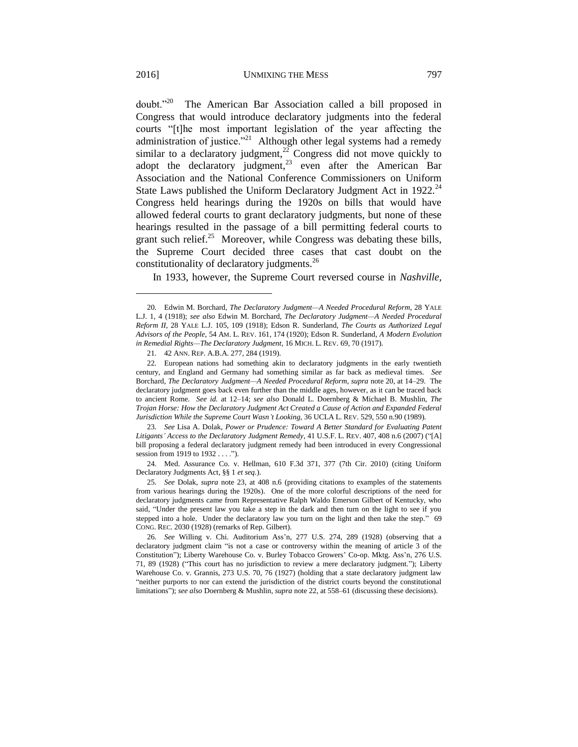$doubt."$ <sup>20</sup> The American Bar Association called a bill proposed in Congress that would introduce declaratory judgments into the federal courts "[t]he most important legislation of the year affecting the administration of justice."<sup>21</sup> Although other legal systems had a remedy similar to a declaratory judgment,<sup>22</sup> Congress did not move quickly to adopt the declaratory judgment, $23$  even after the American Bar Association and the National Conference Commissioners on Uniform State Laws published the Uniform Declaratory Judgment Act in 1922. $^{24}$ Congress held hearings during the 1920s on bills that would have allowed federal courts to grant declaratory judgments, but none of these hearings resulted in the passage of a bill permitting federal courts to grant such relief. $25$  Moreover, while Congress was debating these bills, the Supreme Court decided three cases that cast doubt on the constitutionality of declaratory judgments.<sup>26</sup>

In 1933, however, the Supreme Court reversed course in *Nashville,* 

23. *See* Lisa A. Dolak, *Power or Prudence: Toward A Better Standard for Evaluating Patent Litigants' Access to the Declaratory Judgment Remedy*, 41 U.S.F. L. REV. 407, 408 n.6 (2007) ("[A] bill proposing a federal declaratory judgment remedy had been introduced in every Congressional session from 1919 to 1932 . . . .").

24. Med. Assurance Co. v. Hellman, 610 F.3d 371, 377 (7th Cir. 2010) (citing Uniform Declaratory Judgments Act, §§ 1 *et seq.*).

25. *See* Dolak, *supra* note 23, at 408 n.6 (providing citations to examples of the statements from various hearings during the 1920s). One of the more colorful descriptions of the need for declaratory judgments came from Representative Ralph Waldo Emerson Gilbert of Kentucky, who said, "Under the present law you take a step in the dark and then turn on the light to see if you stepped into a hole. Under the declaratory law you turn on the light and then take the step." 69 CONG. REC. 2030 (1928) (remarks of Rep. Gilbert).

26. *See* Willing v. Chi. Auditorium Ass'n, 277 U.S. 274, 289 (1928) (observing that a declaratory judgment claim "is not a case or controversy within the meaning of article 3 of the Constitution"); Liberty Warehouse Co. v. Burley Tobacco Growers' Co-op. Mktg. Ass'n, 276 U.S. 71, 89 (1928) ("This court has no jurisdiction to review a mere declaratory judgment."); Liberty Warehouse Co. v. Grannis, 273 U.S. 70, 76 (1927) (holding that a state declaratory judgment law "neither purports to nor can extend the jurisdiction of the district courts beyond the constitutional limitations"); *see also* Doernberg & Mushlin, *supra* note 22, at 558–61 (discussing these decisions).

<sup>20.</sup> Edwin M. Borchard, *The Declaratory Judgment—A Needed Procedural Reform*, 28 YALE L.J. 1, 4 (1918); *see also* Edwin M. Borchard, *The Declaratory Judgment—A Needed Procedural Reform II*, 28 YALE L.J. 105, 109 (1918); Edson R. Sunderland, *The Courts as Authorized Legal Advisors of the People*, 54 AM. L. REV. 161, 174 (1920); Edson R. Sunderland, *A Modern Evolution in Remedial Rights—The Declaratory Judgment*, 16 MICH. L. REV. 69, 70 (1917).

<sup>21.</sup> 42 ANN. REP. A.B.A. 277, 284 (1919).

<sup>22.</sup> European nations had something akin to declaratory judgments in the early twentieth century, and England and Germany had something similar as far back as medieval times. *See*  Borchard, *The Declaratory Judgment—A Needed Procedural Reform*, *supra* note 20, at 14–29. The declaratory judgment goes back even further than the middle ages, however, as it can be traced back to ancient Rome. *See id.* at 12–14; *see also* Donald L. Doernberg & Michael B. Mushlin, *The Trojan Horse: How the Declaratory Judgment Act Created a Cause of Action and Expanded Federal Jurisdiction While the Supreme Court Wasn't Looking*, 36 UCLA L. REV. 529, 550 n.90 (1989).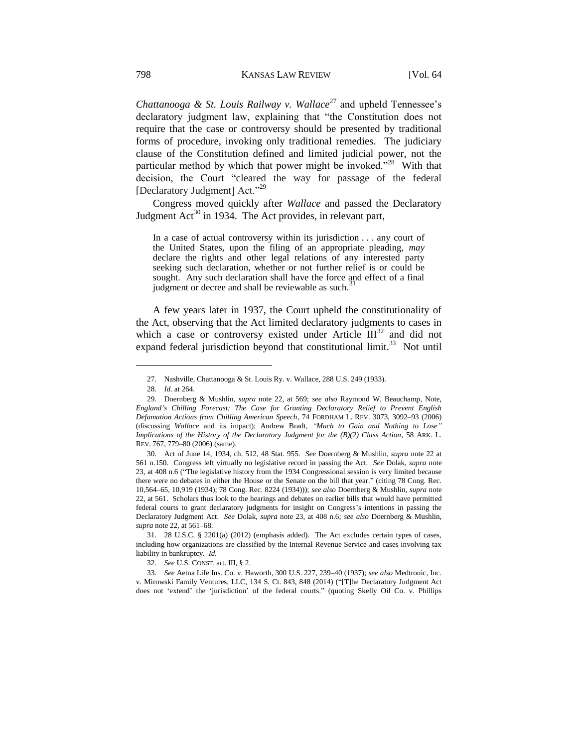*Chattanooga & St. Louis Railway v. Wallace*<sup>27</sup> and upheld Tennessee's declaratory judgment law, explaining that "the Constitution does not require that the case or controversy should be presented by traditional forms of procedure, invoking only traditional remedies. The judiciary clause of the Constitution defined and limited judicial power, not the particular method by which that power might be invoked."<sup>28</sup> With that decision, the Court "cleared the way for passage of the federal [Declaratory Judgment] Act."<sup>29</sup>

Congress moved quickly after *Wallace* and passed the Declaratory Judgment  $Act^{30}$  in 1934. The Act provides, in relevant part,

In a case of actual controversy within its jurisdiction . . . any court of the United States, upon the filing of an appropriate pleading, *may* declare the rights and other legal relations of any interested party seeking such declaration, whether or not further relief is or could be sought. Any such declaration shall have the force and effect of a final judgment or decree and shall be reviewable as such.

A few years later in 1937, the Court upheld the constitutionality of the Act, observing that the Act limited declaratory judgments to cases in which a case or controversy existed under Article  $III^{32}$  and did not expand federal jurisdiction beyond that constitutional limit.<sup>33</sup> Not until

 $\overline{a}$ 

32. *See* U.S. CONST. art. III, § 2.

33. *See* Aetna Life Ins. Co. v. Haworth, 300 U.S. 227, 239–40 (1937); *see also* Medtronic, Inc. v. Mirowski Family Ventures, LLC, 134 S. Ct. 843, 848 (2014) ("[T]he Declaratory Judgment Act does not 'extend' the 'jurisdiction' of the federal courts." (quoting Skelly Oil Co. v. Phillips

<sup>27.</sup> Nashville, Chattanooga & St. Louis Ry. v. Wallace, 288 U.S. 249 (1933).

<sup>28.</sup> *Id.* at 264.

<sup>29.</sup> Doernberg & Mushlin, *supra* note 22, at 569; *see also* Raymond W. Beauchamp, Note, *England's Chilling Forecast: The Case for Granting Declaratory Relief to Prevent English Defamation Actions from Chilling American Speech*, 74 FORDHAM L. REV. 3073, 3092–93 (2006) (discussing *Wallace* and its impact); Andrew Bradt, *"Much to Gain and Nothing to Lose" Implications of the History of the Declaratory Judgment for the (B)(2) Class Action*, 58 ARK. L. REV. 767, 779–80 (2006) (same).

<sup>30.</sup> Act of June 14, 1934, ch. 512, 48 Stat. 955. *See* Doernberg & Mushlin, *supra* note 22 at 561 n.150. Congress left virtually no legislative record in passing the Act. *See* Dolak, *supra* note 23, at 408 n.6 ("The legislative history from the 1934 Congressional session is very limited because there were no debates in either the House or the Senate on the bill that year." (citing 78 Cong. Rec. 10,564–65, 10,919 (1934); 78 Cong. Rec. 8224 (1934))); *see also* Doernberg & Mushlin, *supra* note 22, at 561. Scholars thus look to the hearings and debates on earlier bills that would have permitted federal courts to grant declaratory judgments for insight on Congress's intentions in passing the Declaratory Judgment Act. *See* Dolak, *supra* note 23, at 408 n.6; *see also* Doernberg & Mushlin, *supra* note 22, at 561–68.

<sup>31.</sup> 28 U.S.C. § 2201(a) (2012) (emphasis added). The Act excludes certain types of cases, including how organizations are classified by the Internal Revenue Service and cases involving tax liability in bankruptcy. *Id.*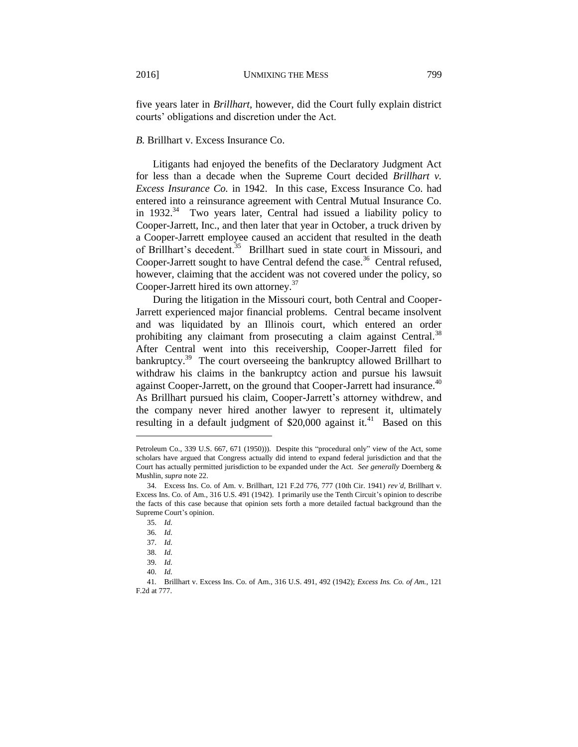five years later in *Brillhart*, however, did the Court fully explain district courts' obligations and discretion under the Act.

# *B.* Brillhart v. Excess Insurance Co.

Litigants had enjoyed the benefits of the Declaratory Judgment Act for less than a decade when the Supreme Court decided *Brillhart v. Excess Insurance Co.* in 1942. In this case, Excess Insurance Co. had entered into a reinsurance agreement with Central Mutual Insurance Co. in  $1932.^{34}$  Two years later, Central had issued a liability policy to Cooper-Jarrett, Inc., and then later that year in October, a truck driven by a Cooper-Jarrett employee caused an accident that resulted in the death of Brillhart's decedent.<sup>35</sup> Brillhart sued in state court in Missouri, and Cooper-Jarrett sought to have Central defend the case.<sup>36</sup> Central refused, however, claiming that the accident was not covered under the policy, so Cooper-Jarrett hired its own attorney.<sup>37</sup>

During the litigation in the Missouri court, both Central and Cooper-Jarrett experienced major financial problems. Central became insolvent and was liquidated by an Illinois court, which entered an order prohibiting any claimant from prosecuting a claim against Central.<sup>38</sup> After Central went into this receivership, Cooper-Jarrett filed for bankruptcy.<sup>39</sup> The court overseeing the bankruptcy allowed Brillhart to withdraw his claims in the bankruptcy action and pursue his lawsuit against Cooper-Jarrett, on the ground that Cooper-Jarrett had insurance.<sup>40</sup> As Brillhart pursued his claim, Cooper-Jarrett's attorney withdrew, and the company never hired another lawyer to represent it, ultimately resulting in a default judgment of \$20,000 against it.<sup>41</sup> Based on this

Petroleum Co., 339 U.S. 667, 671 (1950))). Despite this "procedural only" view of the Act, some scholars have argued that Congress actually did intend to expand federal jurisdiction and that the Court has actually permitted jurisdiction to be expanded under the Act. *See generally* Doernberg & Mushlin, *supra* note 22.

<sup>34.</sup> Excess Ins. Co. of Am. v. Brillhart, 121 F.2d 776, 777 (10th Cir. 1941) *rev'd*, Brillhart v. Excess Ins. Co. of Am., 316 U.S. 491 (1942). I primarily use the Tenth Circuit's opinion to describe the facts of this case because that opinion sets forth a more detailed factual background than the Supreme Court's opinion.

<sup>35.</sup> *Id.*

<sup>36.</sup> *Id.*

<sup>37.</sup> *Id.*

<sup>38.</sup> *Id.*

<sup>39.</sup> *Id.*

<sup>40.</sup> *Id.*

<sup>41</sup>*.* Brillhart v. Excess Ins. Co. of Am., 316 U.S. 491, 492 (1942); *Excess Ins. Co. of Am.*, 121 F.2d at 777.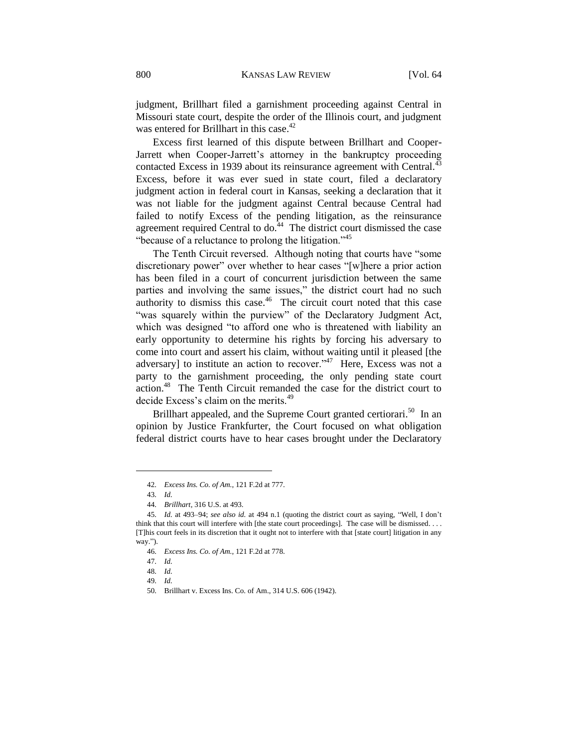judgment, Brillhart filed a garnishment proceeding against Central in Missouri state court, despite the order of the Illinois court, and judgment was entered for Brillhart in this case.<sup>42</sup>

Excess first learned of this dispute between Brillhart and Cooper-Jarrett when Cooper-Jarrett's attorney in the bankruptcy proceeding contacted Excess in 1939 about its reinsurance agreement with Central. $43$ Excess, before it was ever sued in state court, filed a declaratory judgment action in federal court in Kansas, seeking a declaration that it was not liable for the judgment against Central because Central had failed to notify Excess of the pending litigation, as the reinsurance agreement required Central to do. $44$  The district court dismissed the case "because of a reluctance to prolong the litigation."<sup>45</sup>

The Tenth Circuit reversed. Although noting that courts have "some discretionary power" over whether to hear cases "[w]here a prior action has been filed in a court of concurrent jurisdiction between the same parties and involving the same issues," the district court had no such authority to dismiss this case. $46$  The circuit court noted that this case "was squarely within the purview" of the Declaratory Judgment Act, which was designed "to afford one who is threatened with liability an early opportunity to determine his rights by forcing his adversary to come into court and assert his claim, without waiting until it pleased [the adversary] to institute an action to recover.<sup> $347$ </sup> Here, Excess was not a party to the garnishment proceeding, the only pending state court action.<sup>48</sup> The Tenth Circuit remanded the case for the district court to decide Excess's claim on the merits.<sup>49</sup>

Brillhart appealed, and the Supreme Court granted certiorari.<sup>50</sup> In an opinion by Justice Frankfurter, the Court focused on what obligation federal district courts have to hear cases brought under the Declaratory

<sup>42.</sup> *Excess Ins. Co. of Am.*, 121 F.2d at 777.

<sup>43.</sup> *Id.*

<sup>44.</sup> *Brillhart*, 316 U.S. at 493.

<sup>45.</sup> *Id.* at 493–94; *see also id.* at 494 n.1 (quoting the district court as saying, "Well, I don't think that this court will interfere with [the state court proceedings]. The case will be dismissed. . . . [T]his court feels in its discretion that it ought not to interfere with that [state court] litigation in any way.").

<sup>46.</sup> *Excess Ins. Co. of Am.*, 121 F.2d at 778.

<sup>47.</sup> *Id.*

<sup>48.</sup> *Id.*

<sup>49.</sup> *Id.*

<sup>50.</sup> Brillhart v. Excess Ins. Co. of Am., 314 U.S. 606 (1942).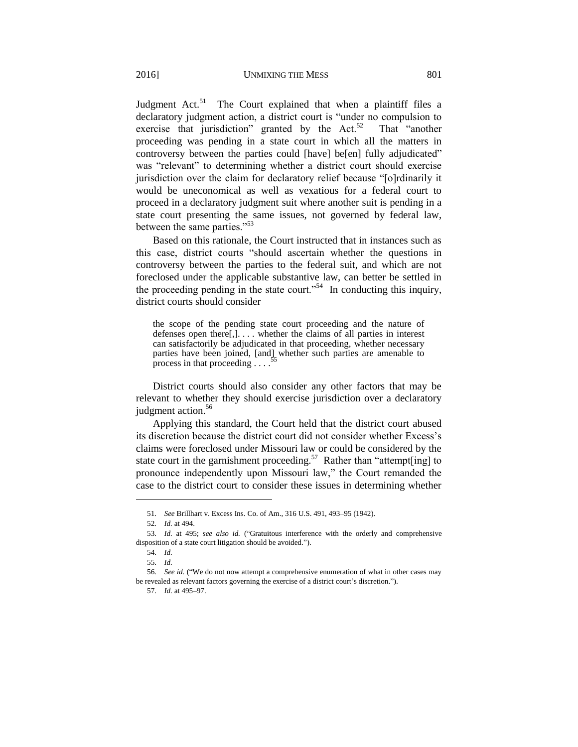Judgment Act.<sup>51</sup> The Court explained that when a plaintiff files a declaratory judgment action, a district court is "under no compulsion to exercise that jurisdiction" granted by the Act.<sup>52</sup> That "another proceeding was pending in a state court in which all the matters in controversy between the parties could [have] be[en] fully adjudicated" was "relevant" to determining whether a district court should exercise jurisdiction over the claim for declaratory relief because "[o]rdinarily it would be uneconomical as well as vexatious for a federal court to proceed in a declaratory judgment suit where another suit is pending in a state court presenting the same issues, not governed by federal law, between the same parties."<sup>53</sup>

Based on this rationale, the Court instructed that in instances such as this case, district courts "should ascertain whether the questions in controversy between the parties to the federal suit, and which are not foreclosed under the applicable substantive law, can better be settled in the proceeding pending in the state court."<sup>54</sup> In conducting this inquiry, district courts should consider

the scope of the pending state court proceeding and the nature of defenses open there[,]. . . . whether the claims of all parties in interest can satisfactorily be adjudicated in that proceeding, whether necessary parties have been joined, [and], whether such parties are amenable to process in that proceeding process in that proceeding . . . .<sup>3</sup>

District courts should also consider any other factors that may be relevant to whether they should exercise jurisdiction over a declaratory judgment action.<sup>56</sup>

Applying this standard, the Court held that the district court abused its discretion because the district court did not consider whether Excess's claims were foreclosed under Missouri law or could be considered by the state court in the garnishment proceeding.<sup>57</sup> Rather than "attempt[ing] to pronounce independently upon Missouri law," the Court remanded the case to the district court to consider these issues in determining whether

<sup>51.</sup> *See* Brillhart v. Excess Ins. Co. of Am., 316 U.S. 491, 493–95 (1942).

<sup>52.</sup> *Id.* at 494.

<sup>53.</sup> *Id.* at 495; *see also id.* ("Gratuitous interference with the orderly and comprehensive disposition of a state court litigation should be avoided.").

<sup>54.</sup> *Id.*

<sup>55.</sup> *Id.*

<sup>56.</sup> *See id.* ("We do not now attempt a comprehensive enumeration of what in other cases may be revealed as relevant factors governing the exercise of a district court's discretion.").

<sup>57.</sup> *Id.* at 495–97.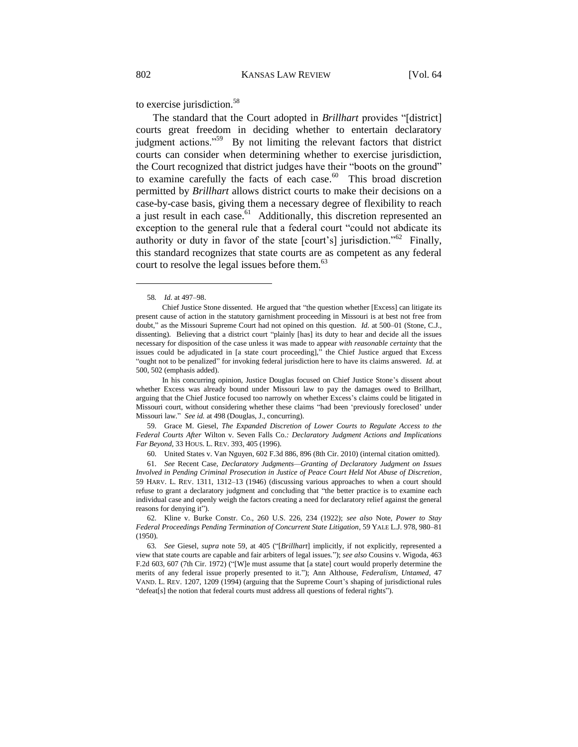to exercise jurisdiction.<sup>58</sup>

<span id="page-9-0"></span>The standard that the Court adopted in *Brillhart* provides "[district] courts great freedom in deciding whether to entertain declaratory judgment actions."<sup>59</sup> By not limiting the relevant factors that district courts can consider when determining whether to exercise jurisdiction, the Court recognized that district judges have their "boots on the ground" to examine carefully the facts of each case. $60$  This broad discretion permitted by *Brillhart* allows district courts to make their decisions on a case-by-case basis, giving them a necessary degree of flexibility to reach a just result in each case.<sup>61</sup> Additionally, this discretion represented an exception to the general rule that a federal court "could not abdicate its authority or duty in favor of the state [court's] jurisdiction."<sup>62</sup> Finally, this standard recognizes that state courts are as competent as any federal court to resolve the legal issues before them.<sup>63</sup>

<sup>58</sup>*. Id.* at 497–98.

Chief Justice Stone dissented. He argued that "the question whether [Excess] can litigate its present cause of action in the statutory garnishment proceeding in Missouri is at best not free from doubt," as the Missouri Supreme Court had not opined on this question. *Id.* at 500–01 (Stone, C.J., dissenting). Believing that a district court "plainly [has] its duty to hear and decide all the issues necessary for disposition of the case unless it was made to appear *with reasonable certainty* that the issues could be adjudicated in [a state court proceeding]," the Chief Justice argued that Excess "ought not to be penalized" for invoking federal jurisdiction here to have its claims answered. *Id.* at 500, 502 (emphasis added).

In his concurring opinion, Justice Douglas focused on Chief Justice Stone's dissent about whether Excess was already bound under Missouri law to pay the damages owed to Brillhart, arguing that the Chief Justice focused too narrowly on whether Excess's claims could be litigated in Missouri court, without considering whether these claims "had been 'previously foreclosed' under Missouri law." *See id.* at 498 (Douglas, J., concurring).

<sup>59.</sup> Grace M. Giesel, *The Expanded Discretion of Lower Courts to Regulate Access to the Federal Courts After* Wilton v. Seven Falls Co.*: Declaratory Judgment Actions and Implications Far Beyond*, 33 HOUS. L. REV. 393, 405 (1996).

<sup>60.</sup> United States v. Van Nguyen, 602 F.3d 886, 896 (8th Cir. 2010) (internal citation omitted).

<sup>61.</sup> *See* Recent Case, *Declaratory Judgments—Granting of Declaratory Judgment on Issues Involved in Pending Criminal Prosecution in Justice of Peace Court Held Not Abuse of Discretion*, 59 HARV. L. REV. 1311, 1312–13 (1946) (discussing various approaches to when a court should refuse to grant a declaratory judgment and concluding that "the better practice is to examine each individual case and openly weigh the factors creating a need for declaratory relief against the general reasons for denying it").

<sup>62.</sup> Kline v. Burke Constr. Co., 260 U.S. 226, 234 (1922); *see also* Note, *Power to Stay Federal Proceedings Pending Termination of Concurrent State Litigation*, 59 YALE L.J. 978, 980–81 (1950).

<sup>63.</sup> *See* Giesel, *supra* note 59, at 405 ("[*Brillhart*] implicitly, if not explicitly, represented a view that state courts are capable and fair arbiters of legal issues."); *see also* Cousins v. Wigoda, 463 F.2d 603, 607 (7th Cir. 1972) ("[W]e must assume that [a state] court would properly determine the merits of any federal issue properly presented to it."); Ann Althouse, *Federalism, Untamed*, 47 VAND. L. REV. 1207, 1209 (1994) (arguing that the Supreme Court's shaping of jurisdictional rules "defeat[s] the notion that federal courts must address all questions of federal rights").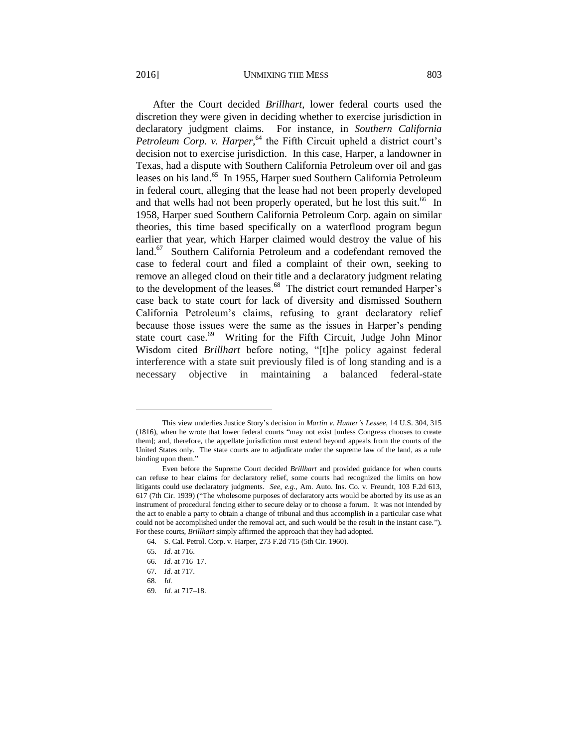#### 2016] UNMIXING THE MESS 803

After the Court decided *Brillhart*, lower federal courts used the discretion they were given in deciding whether to exercise jurisdiction in declaratory judgment claims. For instance, in *Southern California*  Petroleum Corp. v. Harper,<sup>64</sup> the Fifth Circuit upheld a district court's decision not to exercise jurisdiction. In this case, Harper, a landowner in Texas, had a dispute with Southern California Petroleum over oil and gas leases on his land.<sup>65</sup> In 1955, Harper sued Southern California Petroleum in federal court, alleging that the lease had not been properly developed and that wells had not been properly operated, but he lost this suit.<sup>66</sup> In 1958, Harper sued Southern California Petroleum Corp. again on similar theories, this time based specifically on a waterflood program begun earlier that year, which Harper claimed would destroy the value of his land.<sup>67</sup> Southern California Petroleum and a codefendant removed the case to federal court and filed a complaint of their own, seeking to remove an alleged cloud on their title and a declaratory judgment relating to the development of the leases.<sup>68</sup> The district court remanded Harper's case back to state court for lack of diversity and dismissed Southern California Petroleum's claims, refusing to grant declaratory relief because those issues were the same as the issues in Harper's pending state court case.<sup>69</sup> Writing for the Fifth Circuit, Judge John Minor Wisdom cited *Brillhart* before noting, "[t]he policy against federal interference with a state suit previously filed is of long standing and is a necessary objective in maintaining a balanced federal-state

This view underlies Justice Story's decision in *Martin v. Hunter's Lessee*, 14 U.S. 304, 315 (1816), when he wrote that lower federal courts "may not exist [unless Congress chooses to create them]; and, therefore, the appellate jurisdiction must extend beyond appeals from the courts of the United States only. The state courts are to adjudicate under the supreme law of the land, as a rule binding upon them."

Even before the Supreme Court decided *Brillhart* and provided guidance for when courts can refuse to hear claims for declaratory relief, some courts had recognized the limits on how litigants could use declaratory judgments. *See, e.g.*, Am. Auto. Ins. Co. v. Freundt, 103 F.2d 613, 617 (7th Cir. 1939) ("The wholesome purposes of declaratory acts would be aborted by its use as an instrument of procedural fencing either to secure delay or to choose a forum. It was not intended by the act to enable a party to obtain a change of tribunal and thus accomplish in a particular case what could not be accomplished under the removal act, and such would be the result in the instant case."). For these courts, *Brillhart* simply affirmed the approach that they had adopted.

<sup>64.</sup> S. Cal. Petrol. Corp. v. Harper, 273 F.2d 715 (5th Cir. 1960).

<sup>65.</sup> *Id.* at 716.

<sup>66.</sup> *Id.* at 716–17.

<sup>67.</sup> *Id.* at 717.

<sup>68.</sup> *Id.*

<sup>69.</sup> *Id.* at 717–18.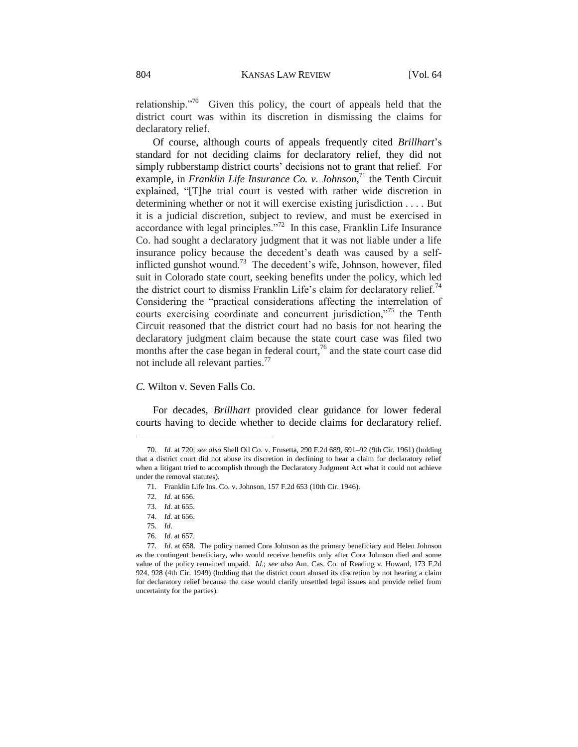relationship.<sup> $n^{70}$ </sup> Given this policy, the court of appeals held that the district court was within its discretion in dismissing the claims for declaratory relief.

Of course, although courts of appeals frequently cited *Brillhart*'s standard for not deciding claims for declaratory relief, they did not simply rubberstamp district courts' decisions not to grant that relief. For example, in *Franklin Life Insurance Co. v. Johnson*,<sup>71</sup> the Tenth Circuit explained, "[T]he trial court is vested with rather wide discretion in determining whether or not it will exercise existing jurisdiction . . . . But it is a judicial discretion, subject to review, and must be exercised in accordance with legal principles."<sup>72</sup> In this case, Franklin Life Insurance Co. had sought a declaratory judgment that it was not liable under a life insurance policy because the decedent's death was caused by a selfinflicted gunshot wound.<sup>73</sup> The decedent's wife, Johnson, however, filed suit in Colorado state court, seeking benefits under the policy, which led the district court to dismiss Franklin Life's claim for declaratory relief.<sup>74</sup> Considering the "practical considerations affecting the interrelation of courts exercising coordinate and concurrent jurisdiction,"<sup>75</sup> the Tenth Circuit reasoned that the district court had no basis for not hearing the declaratory judgment claim because the state court case was filed two months after the case began in federal court,  $7<sup>6</sup>$  and the state court case did not include all relevant parties.<sup>77</sup>

*C.* Wilton v. Seven Falls Co.

For decades, *Brillhart* provided clear guidance for lower federal courts having to decide whether to decide claims for declaratory relief.

 $\overline{a}$ 

76. *Id.* at 657.

<sup>70.</sup> *Id.* at 720; *see also* Shell Oil Co. v. Frusetta, 290 F.2d 689, 691–92 (9th Cir. 1961) (holding that a district court did not abuse its discretion in declining to hear a claim for declaratory relief when a litigant tried to accomplish through the Declaratory Judgment Act what it could not achieve under the removal statutes).

<sup>71.</sup> Franklin Life Ins. Co. v. Johnson, 157 F.2d 653 (10th Cir. 1946).

<sup>72.</sup> *Id.* at 656.

<sup>73.</sup> *Id.* at 655.

<sup>74.</sup> *Id.* at 656.

<sup>75.</sup> *Id.*

<sup>77.</sup> *Id.* at 658. The policy named Cora Johnson as the primary beneficiary and Helen Johnson as the contingent beneficiary, who would receive benefits only after Cora Johnson died and some value of the policy remained unpaid. *Id.*; *see also* Am. Cas. Co. of Reading v. Howard, 173 F.2d 924, 928 (4th Cir. 1949) (holding that the district court abused its discretion by not hearing a claim for declaratory relief because the case would clarify unsettled legal issues and provide relief from uncertainty for the parties).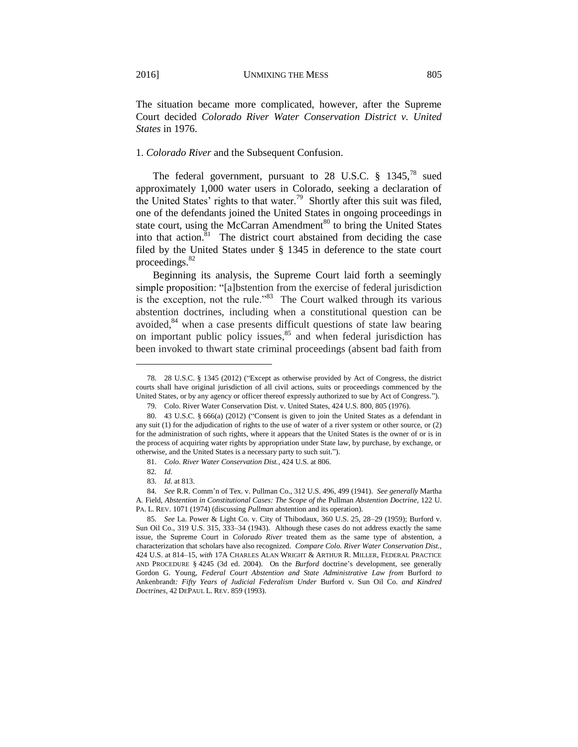The situation became more complicated, however, after the Supreme Court decided *Colorado River Water Conservation District v. United States* in 1976.

# 1. *Colorado River* and the Subsequent Confusion.

The federal government, pursuant to 28 U.S.C. § 1345.<sup>78</sup> sued approximately 1,000 water users in Colorado, seeking a declaration of the United States' rights to that water.<sup>79</sup> Shortly after this suit was filed, one of the defendants joined the United States in ongoing proceedings in state court, using the McCarran Amendment<sup>80</sup> to bring the United States into that action.<sup>81</sup> The district court abstained from deciding the case filed by the United States under § 1345 in deference to the state court proceedings. $82$ 

Beginning its analysis, the Supreme Court laid forth a seemingly simple proposition: "[a]bstention from the exercise of federal jurisdiction is the exception, not the rule."<sup>83</sup> The Court walked through its various abstention doctrines, including when a constitutional question can be avoided,<sup>84</sup> when a case presents difficult questions of state law bearing on important public policy issues,<sup>85</sup> and when federal jurisdiction has been invoked to thwart state criminal proceedings (absent bad faith from

<sup>78.</sup> 28 U.S.C. § 1345 (2012) ("Except as otherwise provided by Act of Congress, the district courts shall have original jurisdiction of all civil actions, suits or proceedings commenced by the United States, or by any agency or officer thereof expressly authorized to sue by Act of Congress.").

<sup>79.</sup> Colo. River Water Conservation Dist. v. United States, 424 U.S. 800, 805 (1976).

<sup>80.</sup> 43 U.S.C. § 666(a) (2012) ("Consent is given to join the United States as a defendant in any suit (1) for the adjudication of rights to the use of water of a river system or other source, or (2) for the administration of such rights, where it appears that the United States is the owner of or is in the process of acquiring water rights by appropriation under State law, by purchase, by exchange, or otherwise, and the United States is a necessary party to such suit.").

<sup>81.</sup> *Colo. River Water Conservation Dist.*, 424 U.S. at 806.

<sup>82.</sup> *Id.*

<sup>83.</sup> *Id.* at 813.

<sup>84.</sup> *See* R.R. Comm'n of Tex. v. Pullman Co., 312 U.S. 496, 499 (1941). *See generally* Martha A. Field, *Abstention in Constitutional Cases: The Scope of the* Pullman *Abstention Doctrine*, 122 U. PA. L. REV. 1071 (1974) (discussing *Pullman* abstention and its operation).

<sup>85.</sup> *See* La. Power & Light Co. v. City of Thibodaux, 360 U.S. 25, 28–29 (1959); Burford v. Sun Oil Co., 319 U.S. 315, 333–34 (1943). Although these cases do not address exactly the same issue, the Supreme Court in *Colorado River* treated them as the same type of abstention, a characterization that scholars have also recognized. *Compare Colo. River Water Conservation Dist.*, 424 U.S. at 814–15, *with* 17A CHARLES ALAN WRIGHT & ARTHUR R. MILLER, FEDERAL PRACTICE AND PROCEDURE § 4245 (3d ed. 2004). On the *Burford* doctrine's development, see generally Gordon G. Young, *Federal Court Abstention and State Administrative Law from* Burford *to*  Ankenbrandt*: Fifty Years of Judicial Federalism Under* Burford v. Sun Oil Co. *and Kindred Doctrines*, 42 DEPAUL L. REV. 859 (1993).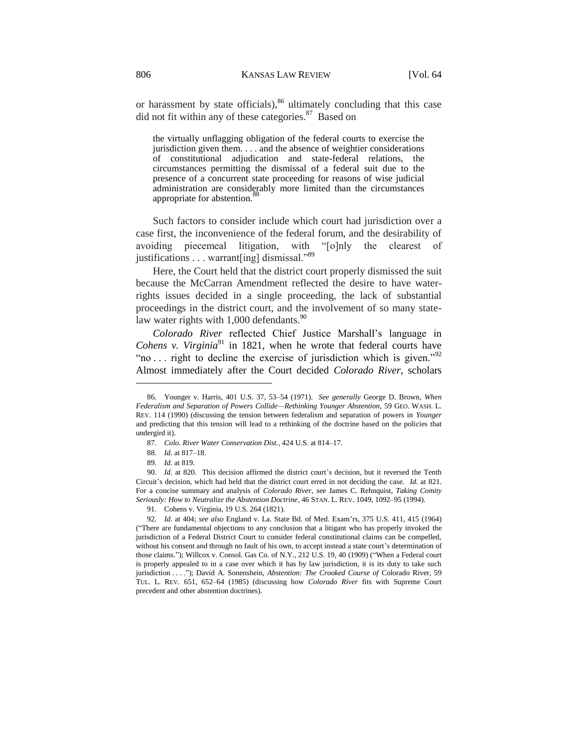or harassment by state officials), <sup>86</sup> ultimately concluding that this case did not fit within any of these categories.<sup>87</sup> Based on

the virtually unflagging obligation of the federal courts to exercise the jurisdiction given them. . . . and the absence of weightier considerations of constitutional adjudication and state-federal relations, the circumstances permitting the dismissal of a federal suit due to the presence of a concurrent state proceeding for reasons of wise judicial administration are considerably more limited than the circumstances appropriate for abstention.

Such factors to consider include which court had jurisdiction over a case first, the inconvenience of the federal forum, and the desirability of avoiding piecemeal litigation, with "[o]nly the clearest of justifications . . . warrant[ing] dismissal."<sup>89</sup>

Here, the Court held that the district court properly dismissed the suit because the McCarran Amendment reflected the desire to have waterrights issues decided in a single proceeding, the lack of substantial proceedings in the district court, and the involvement of so many statelaw water rights with  $1,000$  defendants.<sup>90</sup>

*Colorado River* reflected Chief Justice Marshall's language in *Cohens v. Virginia*<sup>91</sup> in 1821, when he wrote that federal courts have "no ... right to decline the exercise of jurisdiction which is given."<sup>92</sup> Almost immediately after the Court decided *Colorado River*, scholars

<sup>86.</sup> Younger v. Harris, 401 U.S. 37, 53–54 (1971). *See generally* George D. Brown, *When Federalism and Separation of Powers Collide—Rethinking Younger Abstention*, 59 GEO. WASH. L. REV. 114 (1990) (discussing the tension between federalism and separation of powers in *Younger* and predicting that this tension will lead to a rethinking of the doctrine based on the policies that undergird it).

<sup>87.</sup> *Colo. River Water Conservation Dist.*, 424 U.S. at 814–17.

<sup>88.</sup> *Id.* at 817–18.

<sup>89.</sup> *Id.* at 819.

<sup>90.</sup> *Id.* at 820. This decision affirmed the district court's decision, but it reversed the Tenth Circuit's decision, which had held that the district court erred in not deciding the case. *Id.* at 821. For a concise summary and analysis of *Colorado River*, see James C. Rehnquist, *Taking Comity Seriously: How to Neutralize the Abstention Doctrine*, 46 STAN. L. REV. 1049, 1092–95 (1994).

<sup>91.</sup> Cohens v. Virginia, 19 U.S. 264 (1821).

<sup>92.</sup> *Id.* at 404; *see also* England v. La. State Bd. of Med. Exam'rs, 375 U.S. 411, 415 (1964) ("There are fundamental objections to any conclusion that a litigant who has properly invoked the jurisdiction of a Federal District Court to consider federal constitutional claims can be compelled, without his consent and through no fault of his own, to accept instead a state court's determination of those claims."); Willcox v. Consol. Gas Co. of N.Y., 212 U.S. 19, 40 (1909) ("When a Federal court is properly appealed to in a case over which it has by law jurisdiction, it is its duty to take such jurisdiction . . . ."); David A. Sonenshein, *Abstention: The Crooked Course of* Colorado River, 59 TUL. L. REV. 651, 652–64 (1985) (discussing how *Colorado River* fits with Supreme Court precedent and other abstention doctrines).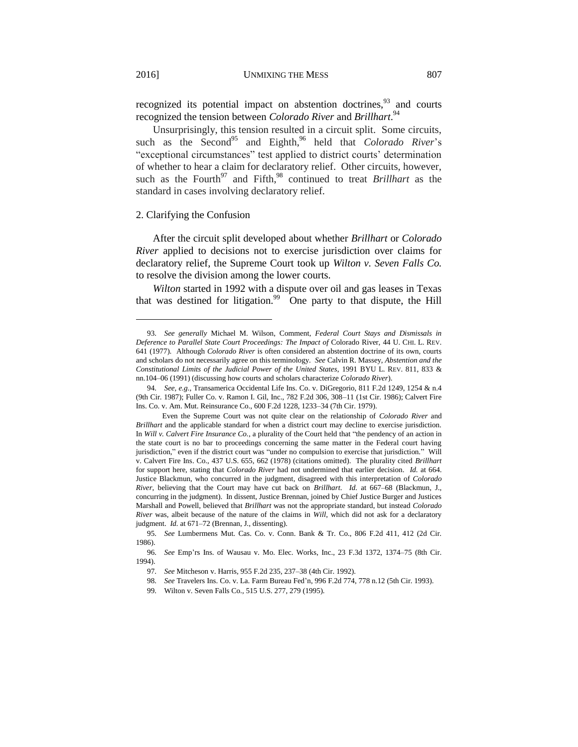recognized its potential impact on abstention doctrines,<sup>93</sup> and courts recognized the tension between *Colorado River* and *Brillhart*. 94

Unsurprisingly, this tension resulted in a circuit split. Some circuits, such as the Second<sup>95</sup> and Eighth,<sup>96</sup> held that *Colorado River*'s "exceptional circumstances" test applied to district courts' determination of whether to hear a claim for declaratory relief. Other circuits, however, such as the Fourth<sup>97</sup> and Fifth,<sup>98</sup> continued to treat *Brillhart* as the standard in cases involving declaratory relief.

#### 2. Clarifying the Confusion

After the circuit split developed about whether *Brillhart* or *Colorado River* applied to decisions not to exercise jurisdiction over claims for declaratory relief, the Supreme Court took up *Wilton v. Seven Falls Co.* to resolve the division among the lower courts.

*Wilton* started in 1992 with a dispute over oil and gas leases in Texas that was destined for litigation.<sup>99</sup> One party to that dispute, the Hill

<sup>93.</sup> *See generally* Michael M. Wilson, Comment, *Federal Court Stays and Dismissals in Deference to Parallel State Court Proceedings: The Impact of* Colorado River, 44 U. CHI. L. REV. 641 (1977). Although *Colorado River* is often considered an abstention doctrine of its own, courts and scholars do not necessarily agree on this terminology. *See* Calvin R. Massey, *Abstention and the Constitutional Limits of the Judicial Power of the United States*, 1991 BYU L. REV. 811, 833 & nn.104–06 (1991) (discussing how courts and scholars characterize *Colorado River*).

<sup>94.</sup> *See, e.g.*, Transamerica Occidental Life Ins. Co. v. DiGregorio, 811 F.2d 1249, 1254 & n.4 (9th Cir. 1987); Fuller Co. v. Ramon I. Gil, Inc., 782 F.2d 306, 308–11 (1st Cir. 1986); Calvert Fire Ins. Co. v. Am. Mut. Reinsurance Co., 600 F.2d 1228, 1233–34 (7th Cir. 1979).

Even the Supreme Court was not quite clear on the relationship of *Colorado River* and *Brillhart* and the applicable standard for when a district court may decline to exercise jurisdiction. In *Will v. Calvert Fire Insurance Co.*, a plurality of the Court held that "the pendency of an action in the state court is no bar to proceedings concerning the same matter in the Federal court having jurisdiction," even if the district court was "under no compulsion to exercise that jurisdiction." Will v. Calvert Fire Ins. Co., 437 U.S. 655, 662 (1978) (citations omitted). The plurality cited *Brillhart* for support here, stating that *Colorado River* had not undermined that earlier decision. *Id.* at 664. Justice Blackmun, who concurred in the judgment, disagreed with this interpretation of *Colorado River*, believing that the Court may have cut back on *Brillhart*. *Id.* at 667–68 (Blackmun, J., concurring in the judgment). In dissent, Justice Brennan, joined by Chief Justice Burger and Justices Marshall and Powell, believed that *Brillhart* was not the appropriate standard, but instead *Colorado River* was, albeit because of the nature of the claims in *Will*, which did not ask for a declaratory judgment. *Id.* at 671–72 (Brennan, J., dissenting).

<sup>95.</sup> *See* Lumbermens Mut. Cas. Co. v. Conn. Bank & Tr. Co., 806 F.2d 411, 412 (2d Cir. 1986).

<sup>96.</sup> *See* Emp'rs Ins. of Wausau v. Mo. Elec. Works, Inc., 23 F.3d 1372, 1374–75 (8th Cir. 1994).

<sup>97.</sup> *See* Mitcheson v. Harris, 955 F.2d 235, 237–38 (4th Cir. 1992).

<sup>98.</sup> *See* Travelers Ins. Co. v. La. Farm Bureau Fed'n, 996 F.2d 774, 778 n.12 (5th Cir. 1993).

<sup>99.</sup> Wilton v. Seven Falls Co., 515 U.S. 277, 279 (1995).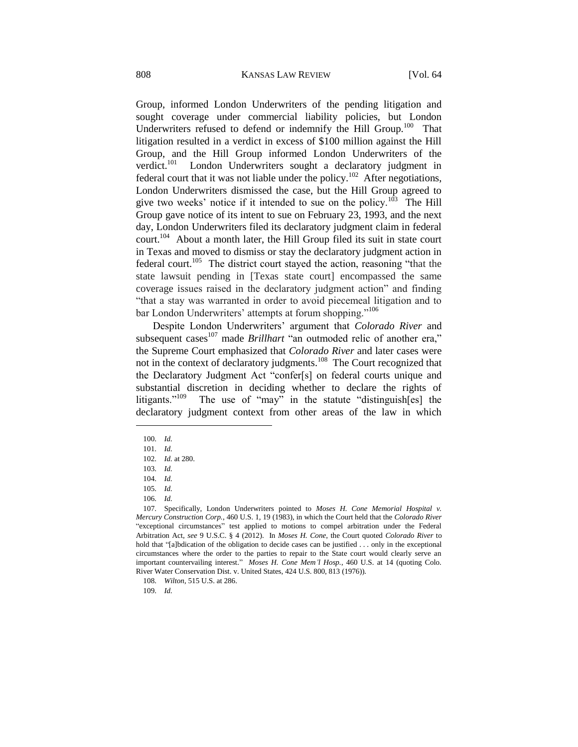Group, informed London Underwriters of the pending litigation and sought coverage under commercial liability policies, but London Underwriters refused to defend or indemnify the Hill Group.<sup>100</sup> That litigation resulted in a verdict in excess of \$100 million against the Hill Group, and the Hill Group informed London Underwriters of the verdict. $101$  London Underwriters sought a declaratory judgment in federal court that it was not liable under the policy.<sup>102</sup> After negotiations, London Underwriters dismissed the case, but the Hill Group agreed to give two weeks' notice if it intended to sue on the policy.<sup>103</sup> The Hill Group gave notice of its intent to sue on February 23, 1993, and the next day, London Underwriters filed its declaratory judgment claim in federal court.<sup>104</sup> About a month later, the Hill Group filed its suit in state court in Texas and moved to dismiss or stay the declaratory judgment action in federal court.<sup>105</sup> The district court stayed the action, reasoning "that the state lawsuit pending in [Texas state court] encompassed the same coverage issues raised in the declaratory judgment action" and finding "that a stay was warranted in order to avoid piecemeal litigation and to bar London Underwriters' attempts at forum shopping."<sup>106</sup>

Despite London Underwriters' argument that *Colorado River* and subsequent cases<sup>107</sup> made *Brillhart* "an outmoded relic of another era," the Supreme Court emphasized that *Colorado River* and later cases were not in the context of declaratory judgments.<sup>108</sup> The Court recognized that the Declaratory Judgment Act "confer[s] on federal courts unique and substantial discretion in deciding whether to declare the rights of litigants."<sup>109</sup> The use of "may" in the statute "distinguish[es] the declaratory judgment context from other areas of the law in which

 $\overline{a}$ 

109. *Id.*

<sup>100.</sup> *Id.*

<sup>101.</sup> *Id.*

<sup>102.</sup> *Id.* at 280.

<sup>103.</sup> *Id.*

<sup>104.</sup> *Id.*

<sup>105.</sup> *Id.*

<sup>106.</sup> *Id.*

<sup>107.</sup> Specifically, London Underwriters pointed to *Moses H. Cone Memorial Hospital v. Mercury Construction Corp.*, 460 U.S. 1, 19 (1983), in which the Court held that the *Colorado River* "exceptional circumstances" test applied to motions to compel arbitration under the Federal Arbitration Act, *see* 9 U.S.C. § 4 (2012). In *Moses H. Cone*, the Court quoted *Colorado River* to hold that "[a]bdication of the obligation to decide cases can be justified . . . only in the exceptional circumstances where the order to the parties to repair to the State court would clearly serve an important countervailing interest." *Moses H. Cone Mem'l Hosp.*, 460 U.S. at 14 (quoting Colo. River Water Conservation Dist. v. United States, 424 U.S. 800, 813 (1976)).

<sup>108.</sup> *Wilton*, 515 U.S. at 286.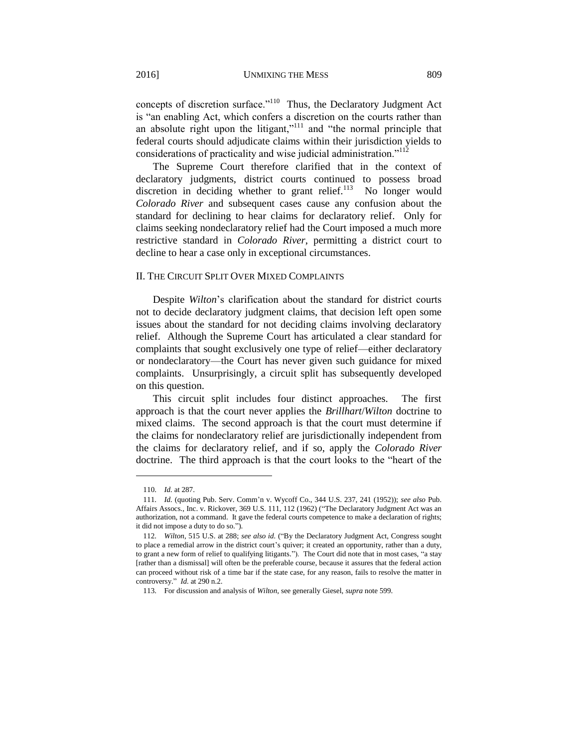concepts of discretion surface."<sup>110</sup> Thus, the Declaratory Judgment Act is "an enabling Act, which confers a discretion on the courts rather than an absolute right upon the litigant,"<sup>111</sup> and "the normal principle that federal courts should adjudicate claims within their jurisdiction yields to considerations of practicality and wise judicial administration."<sup>112</sup>

The Supreme Court therefore clarified that in the context of declaratory judgments, district courts continued to possess broad discretion in deciding whether to grant relief.<sup>113</sup> No longer would *Colorado River* and subsequent cases cause any confusion about the standard for declining to hear claims for declaratory relief. Only for claims seeking nondeclaratory relief had the Court imposed a much more restrictive standard in *Colorado River*, permitting a district court to decline to hear a case only in exceptional circumstances.

#### II. THE CIRCUIT SPLIT OVER MIXED COMPLAINTS

Despite *Wilton*'s clarification about the standard for district courts not to decide declaratory judgment claims, that decision left open some issues about the standard for not deciding claims involving declaratory relief. Although the Supreme Court has articulated a clear standard for complaints that sought exclusively one type of relief—either declaratory or nondeclaratory—the Court has never given such guidance for mixed complaints. Unsurprisingly, a circuit split has subsequently developed on this question.

This circuit split includes four distinct approaches. The first approach is that the court never applies the *Brillhart*/*Wilton* doctrine to mixed claims. The second approach is that the court must determine if the claims for nondeclaratory relief are jurisdictionally independent from the claims for declaratory relief, and if so, apply the *Colorado River*  doctrine. The third approach is that the court looks to the "heart of the

<sup>110.</sup> *Id.* at 287.

<sup>111.</sup> *Id.* (quoting Pub. Serv. Comm'n v. Wycoff Co., 344 U.S. 237, 241 (1952)); *see also* Pub. Affairs Assocs., Inc. v. Rickover, 369 U.S. 111, 112 (1962) ("The Declaratory Judgment Act was an authorization, not a command. It gave the federal courts competence to make a declaration of rights; it did not impose a duty to do so.").

<sup>112.</sup> *Wilton*, 515 U.S. at 288; *see also id.* ("By the Declaratory Judgment Act, Congress sought to place a remedial arrow in the district court's quiver; it created an opportunity, rather than a duty, to grant a new form of relief to qualifying litigants."). The Court did note that in most cases, "a stay [rather than a dismissal] will often be the preferable course, because it assures that the federal action can proceed without risk of a time bar if the state case, for any reason, fails to resolve the matter in controversy." *Id.* at 290 n.2.

<sup>113.</sup> For discussion and analysis of *Wilton*, see generally Giesel, *supra* not[e 599](#page-9-0).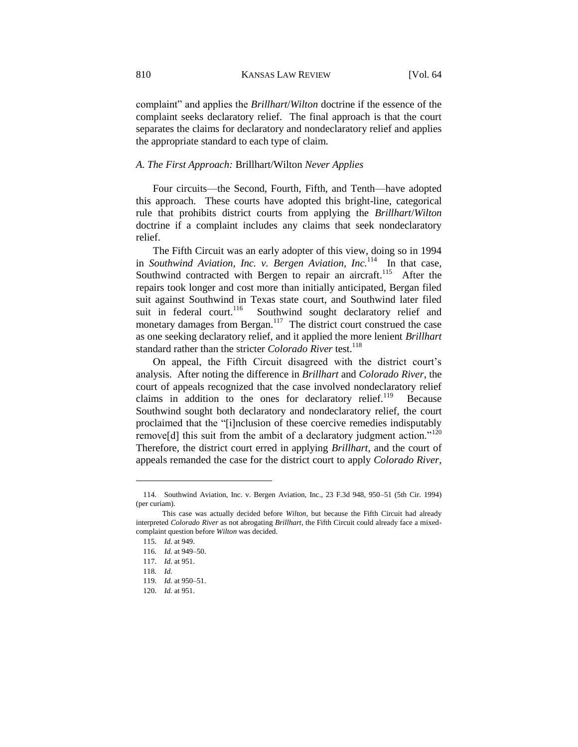complaint" and applies the *Brillhart*/*Wilton* doctrine if the essence of the complaint seeks declaratory relief. The final approach is that the court separates the claims for declaratory and nondeclaratory relief and applies the appropriate standard to each type of claim.

### *A. The First Approach:* Brillhart/Wilton *Never Applies*

Four circuits—the Second, Fourth, Fifth, and Tenth—have adopted this approach. These courts have adopted this bright-line, categorical rule that prohibits district courts from applying the *Brillhart*/*Wilton* doctrine if a complaint includes any claims that seek nondeclaratory relief.

The Fifth Circuit was an early adopter of this view, doing so in 1994 in *Southwind Aviation, Inc. v. Bergen Aviation, Inc.*<sup>114</sup> In that case, Southwind contracted with Bergen to repair an aircraft.<sup>115</sup> After the repairs took longer and cost more than initially anticipated, Bergan filed suit against Southwind in Texas state court, and Southwind later filed suit in federal court.<sup>116</sup> Southwind sought declaratory relief and monetary damages from Bergan. $117$  The district court construed the case as one seeking declaratory relief, and it applied the more lenient *Brillhart* standard rather than the stricter *Colorado River* test.<sup>118</sup>

On appeal, the Fifth Circuit disagreed with the district court's analysis. After noting the difference in *Brillhart* and *Colorado River*, the court of appeals recognized that the case involved nondeclaratory relief claims in addition to the ones for declaratory relief.<sup>119</sup> Because Southwind sought both declaratory and nondeclaratory relief, the court proclaimed that the "[i]nclusion of these coercive remedies indisputably remove[d] this suit from the ambit of a declaratory judgment action."<sup>120</sup> Therefore, the district court erred in applying *Brillhart*, and the court of appeals remanded the case for the district court to apply *Colorado River*,

<sup>114.</sup> Southwind Aviation, Inc. v. Bergen Aviation, Inc., 23 F.3d 948, 950–51 (5th Cir. 1994) (per curiam).

This case was actually decided before *Wilton*, but because the Fifth Circuit had already interpreted *Colorado River* as not abrogating *Brillhart*, the Fifth Circuit could already face a mixedcomplaint question before *Wilton* was decided.

<sup>115.</sup> *Id.* at 949.

<sup>116.</sup> *Id.* at 949–50.

<sup>117.</sup> *Id.* at 951.

<sup>118.</sup> *Id.*

<sup>119.</sup> *Id.* at 950–51.

<sup>120.</sup> *Id.* at 951.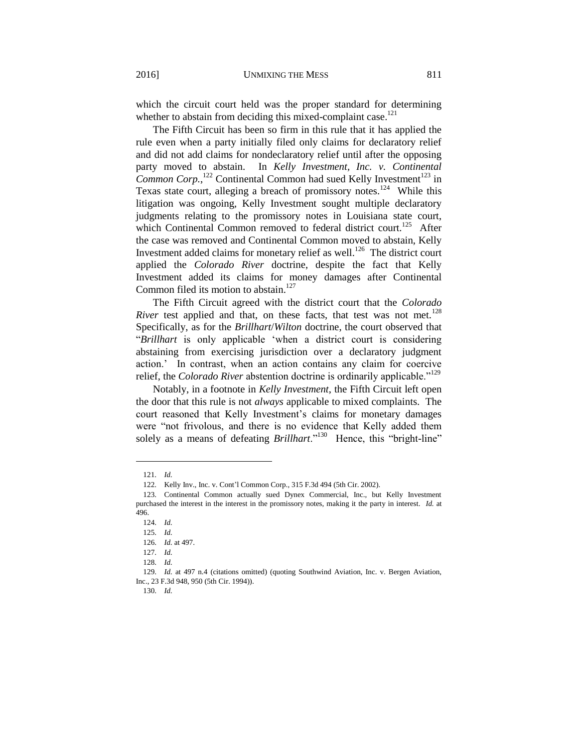which the circuit court held was the proper standard for determining whether to abstain from deciding this mixed-complaint case. $121$ 

The Fifth Circuit has been so firm in this rule that it has applied the rule even when a party initially filed only claims for declaratory relief and did not add claims for nondeclaratory relief until after the opposing party moved to abstain. In *Kelly Investment, Inc. v. Continental*  Common Corp.,<sup>122</sup> Continental Common had sued Kelly Investment<sup>123</sup> in Texas state court, alleging a breach of promissory notes.<sup>124</sup> While this litigation was ongoing, Kelly Investment sought multiple declaratory judgments relating to the promissory notes in Louisiana state court, which Continental Common removed to federal district court.<sup>125</sup> After the case was removed and Continental Common moved to abstain, Kelly Investment added claims for monetary relief as well.<sup>126</sup> The district court applied the *Colorado River* doctrine, despite the fact that Kelly Investment added its claims for money damages after Continental Common filed its motion to abstain.<sup>127</sup>

The Fifth Circuit agreed with the district court that the *Colorado River* test applied and that, on these facts, that test was not met.<sup>128</sup> Specifically, as for the *Brillhart*/*Wilton* doctrine, the court observed that "*Brillhart* is only applicable 'when a district court is considering abstaining from exercising jurisdiction over a declaratory judgment action.' In contrast, when an action contains any claim for coercive relief, the *Colorado River* abstention doctrine is ordinarily applicable."<sup>129</sup>

Notably, in a footnote in *Kelly Investment*, the Fifth Circuit left open the door that this rule is not *always* applicable to mixed complaints. The court reasoned that Kelly Investment's claims for monetary damages were "not frivolous, and there is no evidence that Kelly added them solely as a means of defeating *Brillhart*."<sup>130</sup> Hence, this "bright-line"

<sup>121.</sup> *Id.*

<sup>122.</sup> Kelly Inv., Inc. v. Cont'l Common Corp., 315 F.3d 494 (5th Cir. 2002).

<sup>123.</sup> Continental Common actually sued Dynex Commercial, Inc., but Kelly Investment purchased the interest in the interest in the promissory notes, making it the party in interest. *Id.* at 496.

<sup>124.</sup> *Id.*

<sup>125.</sup> *Id.*

<sup>126.</sup> *Id.* at 497.

<sup>127.</sup> *Id.*

<sup>128.</sup> *Id.*

<sup>129.</sup> *Id.* at 497 n.4 (citations omitted) (quoting Southwind Aviation, Inc. v. Bergen Aviation, Inc., 23 F.3d 948, 950 (5th Cir. 1994)).

<sup>130.</sup> *Id.*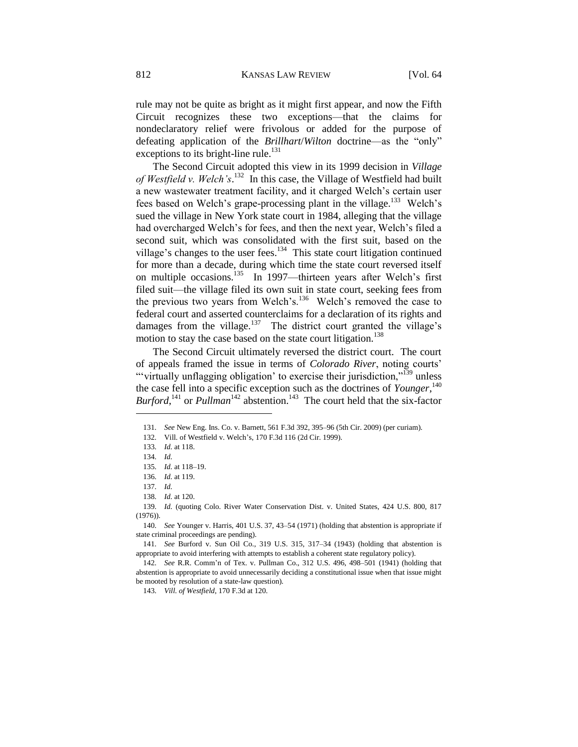rule may not be quite as bright as it might first appear, and now the Fifth Circuit recognizes these two exceptions—that the claims for nondeclaratory relief were frivolous or added for the purpose of defeating application of the *Brillhart*/*Wilton* doctrine—as the "only" exceptions to its bright-line rule.<sup>131</sup>

The Second Circuit adopted this view in its 1999 decision in *Village*  of Westfield v. Welch's.<sup>132</sup> In this case, the Village of Westfield had built a new wastewater treatment facility, and it charged Welch's certain user fees based on Welch's grape-processing plant in the village.<sup>133</sup> Welch's sued the village in New York state court in 1984, alleging that the village had overcharged Welch's for fees, and then the next year, Welch's filed a second suit, which was consolidated with the first suit, based on the village's changes to the user fees. $134$  This state court litigation continued for more than a decade, during which time the state court reversed itself on multiple occasions.<sup>135</sup> In 1997—thirteen years after Welch's first filed suit—the village filed its own suit in state court, seeking fees from the previous two years from Welch's.<sup>136</sup> Welch's removed the case to federal court and asserted counterclaims for a declaration of its rights and damages from the village.<sup>137</sup> The district court granted the village's motion to stay the case based on the state court litigation.<sup>138</sup>

The Second Circuit ultimately reversed the district court. The court of appeals framed the issue in terms of *Colorado River*, noting courts' "virtually unflagging obligation' to exercise their jurisdiction,"<sup>139</sup> unless the case fell into a specific exception such as the doctrines of *Younger*, 140 *Burford*,<sup>141</sup> or *Pullman*<sup>142</sup> abstention.<sup>143</sup> The court held that the six-factor

<sup>131.</sup> *See* New Eng. Ins. Co. v. Barnett, 561 F.3d 392, 395–96 (5th Cir. 2009) (per curiam).

<sup>132.</sup> Vill. of Westfield v. Welch's, 170 F.3d 116 (2d Cir. 1999).

<sup>133.</sup> *Id.* at 118.

<sup>134.</sup> *Id.*

<sup>135.</sup> *Id.* at 118–19.

<sup>136.</sup> *Id.* at 119.

<sup>137.</sup> *Id.*

<sup>138.</sup> *Id.* at 120.

<sup>139.</sup> *Id.* (quoting Colo. River Water Conservation Dist. v. United States, 424 U.S. 800, 817 (1976)).

<sup>140.</sup> *See* Younger v. Harris, 401 U.S. 37, 43–54 (1971) (holding that abstention is appropriate if state criminal proceedings are pending).

<sup>141.</sup> *See* Burford v. Sun Oil Co., 319 U.S. 315, 317–34 (1943) (holding that abstention is appropriate to avoid interfering with attempts to establish a coherent state regulatory policy).

<sup>142.</sup> *See* R.R. Comm'n of Tex. v. Pullman Co., 312 U.S. 496, 498–501 (1941) (holding that abstention is appropriate to avoid unnecessarily deciding a constitutional issue when that issue might be mooted by resolution of a state-law question).

<sup>143.</sup> *Vill. of Westfield*, 170 F.3d at 120.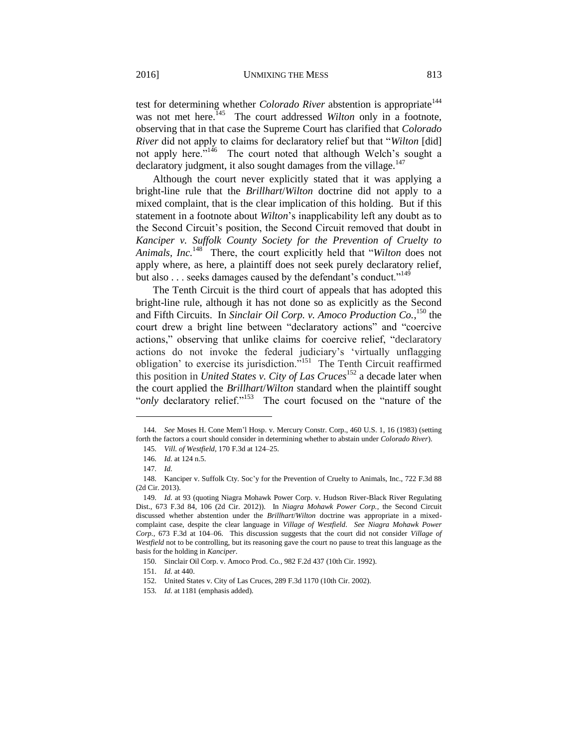test for determining whether *Colorado River* abstention is appropriate<sup>144</sup> was not met here.<sup>145</sup> The court addressed *Wilton* only in a footnote, observing that in that case the Supreme Court has clarified that *Colorado River* did not apply to claims for declaratory relief but that "*Wilton* [did] not apply here."<sup>146</sup> The court noted that although Welch's sought a declaratory judgment, it also sought damages from the village.<sup>147</sup>

Although the court never explicitly stated that it was applying a bright-line rule that the *Brillhart*/*Wilton* doctrine did not apply to a mixed complaint, that is the clear implication of this holding. But if this statement in a footnote about *Wilton*'s inapplicability left any doubt as to the Second Circuit's position, the Second Circuit removed that doubt in *Kanciper v. Suffolk County Society for the Prevention of Cruelty to Animals, Inc.*<sup>148</sup> There, the court explicitly held that "*Wilton* does not apply where, as here, a plaintiff does not seek purely declaratory relief, but also . . . seeks damages caused by the defendant's conduct."<sup>149</sup>

The Tenth Circuit is the third court of appeals that has adopted this bright-line rule, although it has not done so as explicitly as the Second and Fifth Circuits. In *Sinclair Oil Corp. v. Amoco Production Co.*, <sup>150</sup> the court drew a bright line between "declaratory actions" and "coercive actions," observing that unlike claims for coercive relief, "declaratory actions do not invoke the federal judiciary's 'virtually unflagging obligation' to exercise its jurisdiction."<sup>151</sup> The Tenth Circuit reaffirmed this position in *United States v. City of Las Cruces*<sup>152</sup> a decade later when the court applied the *Brillhart*/*Wilton* standard when the plaintiff sought "*only* declaratory relief."<sup>153</sup> The court focused on the "nature of the

<sup>144.</sup> *See* Moses H. Cone Mem'l Hosp. v. Mercury Constr. Corp., 460 U.S. 1, 16 (1983) (setting forth the factors a court should consider in determining whether to abstain under *Colorado River*).

<sup>145.</sup> *Vill. of Westfield*, 170 F.3d at 124–25.

<sup>146.</sup> *Id.* at 124 n.5.

<sup>147.</sup> *Id.*

<sup>148.</sup> Kanciper v. Suffolk Cty. Soc'y for the Prevention of Cruelty to Animals, Inc., 722 F.3d 88 (2d Cir. 2013).

<sup>149.</sup> *Id.* at 93 (quoting Niagra Mohawk Power Corp. v. Hudson River-Black River Regulating Dist., 673 F.3d 84, 106 (2d Cir. 2012)). In *Niagra Mohawk Power Corp.*, the Second Circuit discussed whether abstention under the *Brillhart*/*Wilton* doctrine was appropriate in a mixedcomplaint case, despite the clear language in *Village of Westfield*. *See Niagra Mohawk Power Corp.*, 673 F.3d at 104–06. This discussion suggests that the court did not consider *Village of Westfield* not to be controlling, but its reasoning gave the court no pause to treat this language as the basis for the holding in *Kanciper*.

<sup>150.</sup> Sinclair Oil Corp. v. Amoco Prod. Co*.*, 982 F.2d 437 (10th Cir. 1992).

<sup>151.</sup> *Id.* at 440.

<sup>152.</sup> United States v. City of Las Cruces, 289 F.3d 1170 (10th Cir. 2002).

<sup>153.</sup> *Id.* at 1181 (emphasis added).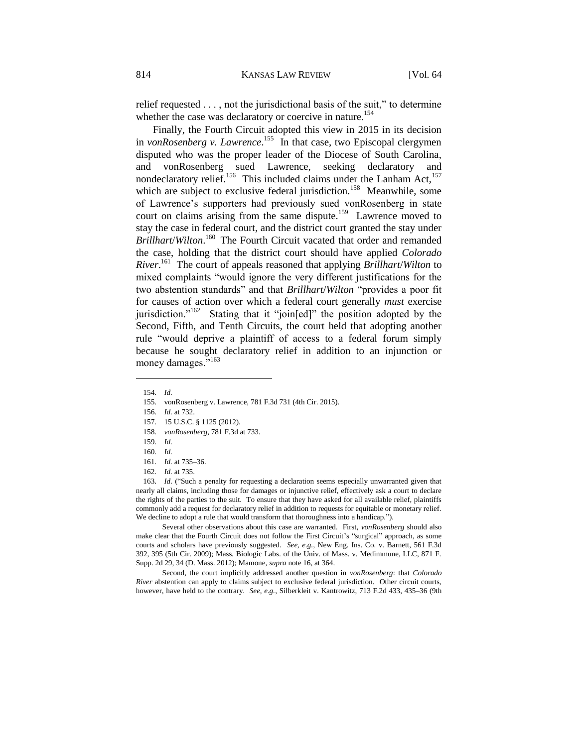relief requested . . . , not the jurisdictional basis of the suit," to determine whether the case was declaratory or coercive in nature.<sup>154</sup>

Finally, the Fourth Circuit adopted this view in 2015 in its decision in *vonRosenberg v. Lawrence*.<sup>155</sup> In that case, two Episcopal clergymen disputed who was the proper leader of the Diocese of South Carolina, and vonRosenberg sued Lawrence, seeking declaratory and nondeclaratory relief.<sup>156</sup> This included claims under the Lanham Act,<sup>157</sup> which are subject to exclusive federal jurisdiction.<sup>158</sup> Meanwhile, some of Lawrence's supporters had previously sued vonRosenberg in state court on claims arising from the same dispute.<sup>159</sup> Lawrence moved to stay the case in federal court, and the district court granted the stay under *Brillhart*/*Wilton*. 160 The Fourth Circuit vacated that order and remanded the case, holding that the district court should have applied *Colorado River*. 161 The court of appeals reasoned that applying *Brillhart*/*Wilton* to mixed complaints "would ignore the very different justifications for the two abstention standards" and that *Brillhart*/*Wilton* "provides a poor fit for causes of action over which a federal court generally *must* exercise jurisdiction."<sup>162</sup> Stating that it "join[ed]" the position adopted by the Second, Fifth, and Tenth Circuits, the court held that adopting another rule "would deprive a plaintiff of access to a federal forum simply because he sought declaratory relief in addition to an injunction or money damages."<sup>163</sup>

<span id="page-21-0"></span>l

163. *Id.* ("Such a penalty for requesting a declaration seems especially unwarranted given that nearly all claims, including those for damages or injunctive relief, effectively ask a court to declare the rights of the parties to the suit. To ensure that they have asked for all available relief, plaintiffs commonly add a request for declaratory relief in addition to requests for equitable or monetary relief. We decline to adopt a rule that would transform that thoroughness into a handicap.").

Several other observations about this case are warranted. First, *vonRosenberg* should also make clear that the Fourth Circuit does not follow the First Circuit's "surgical" approach, as some courts and scholars have previously suggested. *See, e.g.*, New Eng. Ins. Co. v. Barnett, 561 F.3d 392, 395 (5th Cir. 2009); Mass. Biologic Labs. of the Univ. of Mass. v. Medimmune, LLC, 871 F. Supp. 2d 29, 34 (D. Mass. 2012); Mamone, *supra* note 16, at 364.

Second, the court implicitly addressed another question in *vonRosenberg*: that *Colorado River* abstention can apply to claims subject to exclusive federal jurisdiction. Other circuit courts, however, have held to the contrary. *See, e.g.*, Silberkleit v. Kantrowitz, 713 F.2d 433, 435–36 (9th

<sup>154.</sup> *Id.*

<sup>155.</sup> vonRosenberg v. Lawrence, 781 F.3d 731 (4th Cir. 2015).

<sup>156.</sup> *Id.* at 732.

<sup>157.</sup> 15 U.S.C. § 1125 (2012).

<sup>158.</sup> *vonRosenberg*, 781 F.3d at 733.

<sup>159.</sup> *Id.*

<sup>160.</sup> *Id.*

<sup>161.</sup> *Id.* at 735–36.

<sup>162.</sup> *Id.* at 735.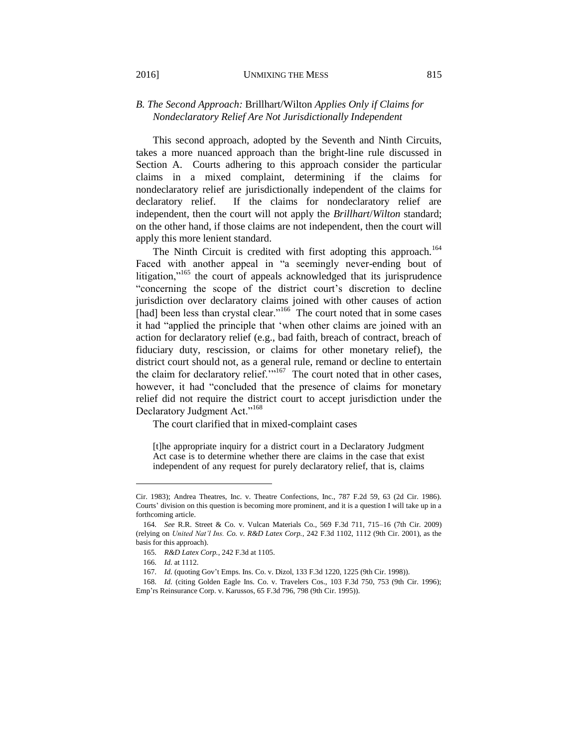## *B. The Second Approach:* Brillhart/Wilton *Applies Only if Claims for Nondeclaratory Relief Are Not Jurisdictionally Independent*

This second approach, adopted by the Seventh and Ninth Circuits, takes a more nuanced approach than the bright-line rule discussed in Section A. Courts adhering to this approach consider the particular claims in a mixed complaint, determining if the claims for nondeclaratory relief are jurisdictionally independent of the claims for declaratory relief. If the claims for nondeclaratory relief are independent, then the court will not apply the *Brillhart*/*Wilton* standard; on the other hand, if those claims are not independent, then the court will apply this more lenient standard.

The Ninth Circuit is credited with first adopting this approach.<sup>164</sup> Faced with another appeal in "a seemingly never-ending bout of litigation,"<sup>165</sup> the court of appeals acknowledged that its jurisprudence "concerning the scope of the district court's discretion to decline jurisdiction over declaratory claims joined with other causes of action [had] been less than crystal clear."<sup>166</sup> The court noted that in some cases it had "applied the principle that 'when other claims are joined with an action for declaratory relief (e.g., bad faith, breach of contract, breach of fiduciary duty, rescission, or claims for other monetary relief), the district court should not, as a general rule, remand or decline to entertain the claim for declaratory relief. $\frac{1}{167}$  The court noted that in other cases, however, it had "concluded that the presence of claims for monetary relief did not require the district court to accept jurisdiction under the Declaratory Judgment Act."<sup>168</sup>

The court clarified that in mixed-complaint cases

[t]he appropriate inquiry for a district court in a Declaratory Judgment Act case is to determine whether there are claims in the case that exist independent of any request for purely declaratory relief, that is, claims

Cir. 1983); Andrea Theatres, Inc. v. Theatre Confections, Inc., 787 F.2d 59, 63 (2d Cir. 1986). Courts' division on this question is becoming more prominent, and it is a question I will take up in a forthcoming article.

<sup>164.</sup> *See* R.R. Street & Co. v. Vulcan Materials Co., 569 F.3d 711, 715–16 (7th Cir. 2009) (relying on *United Nat'l Ins. Co. v. R&D Latex Corp.*, 242 F.3d 1102, 1112 (9th Cir. 2001), as the basis for this approach).

<sup>165.</sup> *R&D Latex Corp.*, 242 F.3d at 1105.

<sup>166.</sup> *Id.* at 1112.

<sup>167.</sup> *Id.* (quoting Gov't Emps. Ins. Co. v. Dizol, 133 F.3d 1220, 1225 (9th Cir. 1998)).

<sup>168.</sup> *Id.* (citing Golden Eagle Ins. Co. v. Travelers Cos., 103 F.3d 750, 753 (9th Cir. 1996); Emp'rs Reinsurance Corp. v. Karussos, 65 F.3d 796, 798 (9th Cir. 1995)).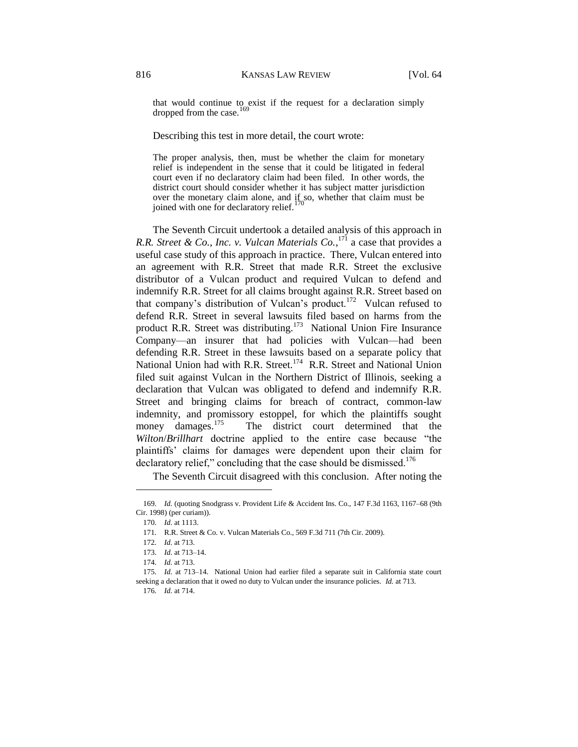that would continue to exist if the request for a declaration simply dropped from the case.

Describing this test in more detail, the court wrote:

The proper analysis, then, must be whether the claim for monetary relief is independent in the sense that it could be litigated in federal court even if no declaratory claim had been filed. In other words, the district court should consider whether it has subject matter jurisdiction over the monetary claim alone, and  $\iint_{S_0}$  so, whether that claim must be joined with one for declaratory relief.<sup>170</sup>

The Seventh Circuit undertook a detailed analysis of this approach in *R.R. Street & Co., Inc. v. Vulcan Materials Co.*, <sup>171</sup> a case that provides a useful case study of this approach in practice. There, Vulcan entered into an agreement with R.R. Street that made R.R. Street the exclusive distributor of a Vulcan product and required Vulcan to defend and indemnify R.R. Street for all claims brought against R.R. Street based on that company's distribution of Vulcan's product.<sup>172</sup> Vulcan refused to defend R.R. Street in several lawsuits filed based on harms from the product R.R. Street was distributing.<sup>173</sup> National Union Fire Insurance Company—an insurer that had policies with Vulcan—had been defending R.R. Street in these lawsuits based on a separate policy that National Union had with R.R. Street.<sup>174</sup> R.R. Street and National Union filed suit against Vulcan in the Northern District of Illinois, seeking a declaration that Vulcan was obligated to defend and indemnify R.R. Street and bringing claims for breach of contract, common-law indemnity, and promissory estoppel, for which the plaintiffs sought money damages. $175$  The district court determined that the *Wilton*/*Brillhart* doctrine applied to the entire case because "the plaintiffs' claims for damages were dependent upon their claim for declaratory relief," concluding that the case should be dismissed.<sup>176</sup>

The Seventh Circuit disagreed with this conclusion. After noting the

<sup>169.</sup> *Id.* (quoting Snodgrass v. Provident Life & Accident Ins. Co., 147 F.3d 1163, 1167–68 (9th Cir. 1998) (per curiam)).

<sup>170.</sup> *Id.* at 1113.

<sup>171.</sup> R.R. Street & Co. v. Vulcan Materials Co., 569 F.3d 711 (7th Cir. 2009).

<sup>172.</sup> *Id.* at 713.

<sup>173.</sup> *Id.* at 713–14.

<sup>174.</sup> *Id.* at 713.

<sup>175.</sup> *Id.* at 713–14. National Union had earlier filed a separate suit in California state court seeking a declaration that it owed no duty to Vulcan under the insurance policies. *Id.* at 713.

<sup>176.</sup> *Id.* at 714.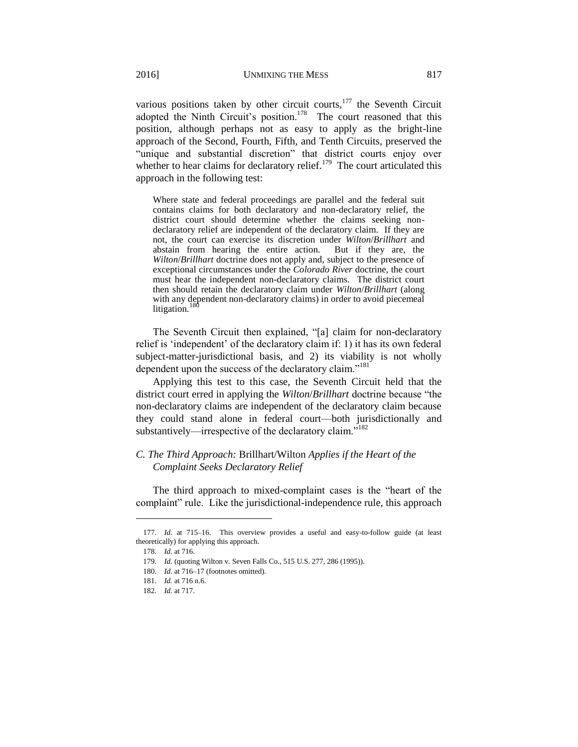various positions taken by other circuit courts, $177$  the Seventh Circuit adopted the Ninth Circuit's position.<sup>178</sup> The court reasoned that this position, although perhaps not as easy to apply as the bright-line approach of the Second, Fourth, Fifth, and Tenth Circuits, preserved the "unique and substantial discretion" that district courts enjoy over whether to hear claims for declaratory relief.<sup>179</sup> The court articulated this approach in the following test:

Where state and federal proceedings are parallel and the federal suit contains claims for both declaratory and non-declaratory relief, the district court should determine whether the claims seeking nondeclaratory relief are independent of the declaratory claim. If they are not, the court can exercise its discretion under *Wilton*/*Brillhart* and abstain from hearing the entire action. But if they are, the *Wilton*/*Brillhart* doctrine does not apply and, subject to the presence of exceptional circumstances under the *Colorado River* doctrine, the court must hear the independent non-declaratory claims. The district court then should retain the declaratory claim under *Wilton*/*Brillhart* (along with any dependent non-declaratory claims) in order to avoid piecemeal litigation.

The Seventh Circuit then explained, "[a] claim for non-declaratory relief is 'independent' of the declaratory claim if: 1) it has its own federal subject-matter-jurisdictional basis, and 2) its viability is not wholly dependent upon the success of the declaratory claim."<sup>181</sup>

Applying this test to this case, the Seventh Circuit held that the district court erred in applying the *Wilton*/*Brillhart* doctrine because "the non-declaratory claims are independent of the declaratory claim because they could stand alone in federal court—both jurisdictionally and substantively—irrespective of the declaratory claim."<sup>182</sup>

## *C. The Third Approach:* Brillhart/Wilton *Applies if the Heart of the Complaint Seeks Declaratory Relief*

The third approach to mixed-complaint cases is the "heart of the complaint" rule. Like the jurisdictional-independence rule, this approach

<sup>177.</sup> *Id.* at 715–16. This overview provides a useful and easy-to-follow guide (at least theoretically) for applying this approach.

<sup>178.</sup> *Id.* at 716.

<sup>179.</sup> *Id.* (quoting Wilton v. Seven Falls Co., 515 U.S. 277, 286 (1995)).

<sup>180.</sup> *Id.* at 716–17 (footnotes omitted).

<sup>181.</sup> *Id.* at 716 n.6.

<sup>182.</sup> *Id.* at 717.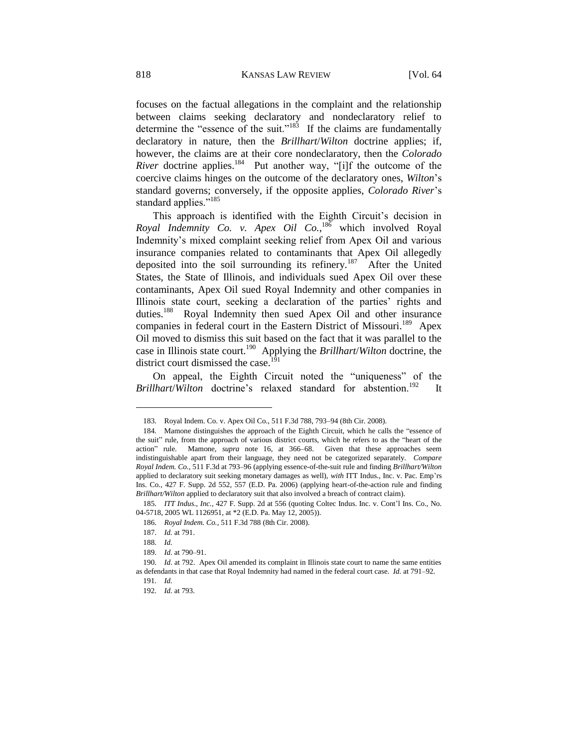focuses on the factual allegations in the complaint and the relationship between claims seeking declaratory and nondeclaratory relief to determine the "essence of the suit."<sup>183</sup> If the claims are fundamentally declaratory in nature, then the *Brillhart*/*Wilton* doctrine applies; if, however, the claims are at their core nondeclaratory, then the *Colorado River* doctrine applies.<sup>184</sup> Put another way, "[i]f the outcome of the coercive claims hinges on the outcome of the declaratory ones, *Wilton*'s standard governs; conversely, if the opposite applies, *Colorado River*'s standard applies."<sup>185</sup>

This approach is identified with the Eighth Circuit's decision in Royal Indemnity Co. v. Apex Oil Co.,<sup>186</sup> which involved Royal Indemnity's mixed complaint seeking relief from Apex Oil and various insurance companies related to contaminants that Apex Oil allegedly deposited into the soil surrounding its refinery.<sup>187</sup> After the United States, the State of Illinois, and individuals sued Apex Oil over these contaminants, Apex Oil sued Royal Indemnity and other companies in Illinois state court, seeking a declaration of the parties' rights and duties.<sup>188</sup> Royal Indemnity then sued Apex Oil and other insurance companies in federal court in the Eastern District of Missouri.<sup>189</sup> Apex Oil moved to dismiss this suit based on the fact that it was parallel to the case in Illinois state court.<sup>190</sup> Applying the *Brillhart*/*Wilton* doctrine, the district court dismissed the case.<sup>191</sup>

On appeal, the Eighth Circuit noted the "uniqueness" of the *Brillhart/Wilton* doctrine's relaxed standard for abstention.<sup>192</sup> It

<sup>183.</sup> Royal Indem. Co. v. Apex Oil Co., 511 F.3d 788, 793–94 (8th Cir. 2008).

<sup>184.</sup> Mamone distinguishes the approach of the Eighth Circuit, which he calls the "essence of the suit" rule, from the approach of various district courts, which he refers to as the "heart of the action" rule. Mamone, *supra* note 16, at 366–68. Given that these approaches seem indistinguishable apart from their language, they need not be categorized separately. *Compare Royal Indem. Co.*, 511 F.3d at 793–96 (applying essence-of-the-suit rule and finding *Brillhart/Wilton*  applied to declaratory suit seeking monetary damages as well), *with* ITT Indus., Inc. v. Pac. Emp'rs Ins. Co., 427 F. Supp. 2d 552, 557 (E.D. Pa. 2006) (applying heart-of-the-action rule and finding *Brillhart/Wilton* applied to declaratory suit that also involved a breach of contract claim).

<sup>185.</sup> *ITT Indus., Inc.*, 427 F. Supp. 2d at 556 (quoting Coltec Indus. Inc. v. Cont'l Ins. Co., No. 04-5718, 2005 WL 1126951, at \*2 (E.D. Pa. May 12, 2005)).

<sup>186.</sup> *Royal Indem. Co.*, 511 F.3d 788 (8th Cir. 2008).

<sup>187.</sup> *Id.* at 791.

<sup>188.</sup> *Id.*

<sup>189.</sup> *Id.* at 790–91.

<sup>190.</sup> *Id.* at 792. Apex Oil amended its complaint in Illinois state court to name the same entities as defendants in that case that Royal Indemnity had named in the federal court case. *Id.* at 791–92.

<sup>191.</sup> *Id.*

<sup>192.</sup> *Id.* at 793.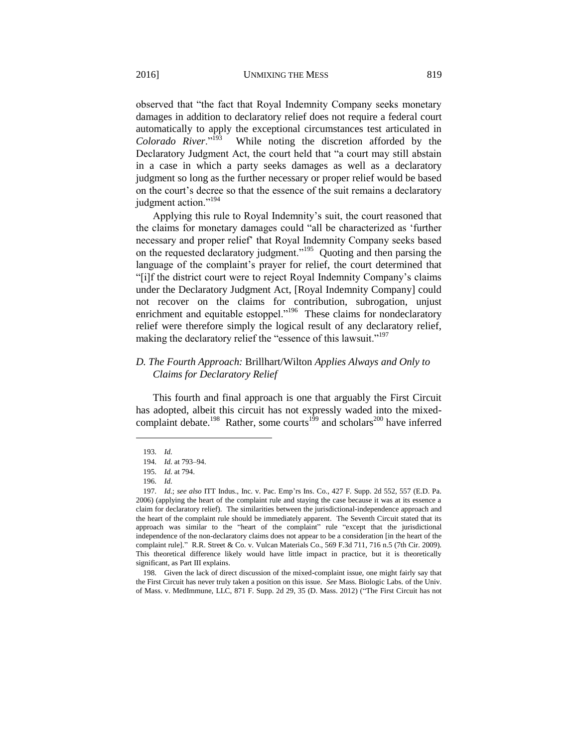observed that "the fact that Royal Indemnity Company seeks monetary damages in addition to declaratory relief does not require a federal court automatically to apply the exceptional circumstances test articulated in Colorado River."<sup>193</sup> While noting the discretion afforded by the Declaratory Judgment Act, the court held that "a court may still abstain in a case in which a party seeks damages as well as a declaratory judgment so long as the further necessary or proper relief would be based on the court's decree so that the essence of the suit remains a declaratory judgment action."<sup>194</sup>

Applying this rule to Royal Indemnity's suit, the court reasoned that the claims for monetary damages could "all be characterized as 'further necessary and proper relief' that Royal Indemnity Company seeks based on the requested declaratory judgment."<sup>195</sup> Quoting and then parsing the language of the complaint's prayer for relief, the court determined that "[i]f the district court were to reject Royal Indemnity Company's claims under the Declaratory Judgment Act, [Royal Indemnity Company] could not recover on the claims for contribution, subrogation, unjust enrichment and equitable estoppel."<sup>196</sup> These claims for nondeclaratory relief were therefore simply the logical result of any declaratory relief, making the declaratory relief the "essence of this lawsuit."<sup>197</sup>

## *D. The Fourth Approach:* Brillhart/Wilton *Applies Always and Only to Claims for Declaratory Relief*

This fourth and final approach is one that arguably the First Circuit has adopted, albeit this circuit has not expressly waded into the mixedcomplaint debate.<sup>198</sup> Rather, some courts<sup>199</sup> and scholars<sup>200</sup> have inferred

l

198. Given the lack of direct discussion of the mixed-complaint issue, one might fairly say that the First Circuit has never truly taken a position on this issue. *See* Mass. Biologic Labs. of the Univ. of Mass. v. MedImmune, LLC, 871 F. Supp. 2d 29, 35 (D. Mass. 2012) ("The First Circuit has not

<sup>193.</sup> *Id.*

<sup>194.</sup> *Id.* at 793–94.

<sup>195.</sup> *Id.* at 794.

<sup>196.</sup> *Id.*

<sup>197.</sup> *Id.*; *see also* ITT Indus., Inc. v. Pac. Emp'rs Ins. Co., 427 F. Supp. 2d 552, 557 (E.D. Pa. 2006) (applying the heart of the complaint rule and staying the case because it was at its essence a claim for declaratory relief). The similarities between the jurisdictional-independence approach and the heart of the complaint rule should be immediately apparent. The Seventh Circuit stated that its approach was similar to the "heart of the complaint" rule "except that the jurisdictional independence of the non-declaratory claims does not appear to be a consideration [in the heart of the complaint rule]." R.R. Street & Co. v. Vulcan Materials Co., 569 F.3d 711, 716 n.5 (7th Cir. 2009). This theoretical difference likely would have little impact in practice, but it is theoretically significant, as Part III explains.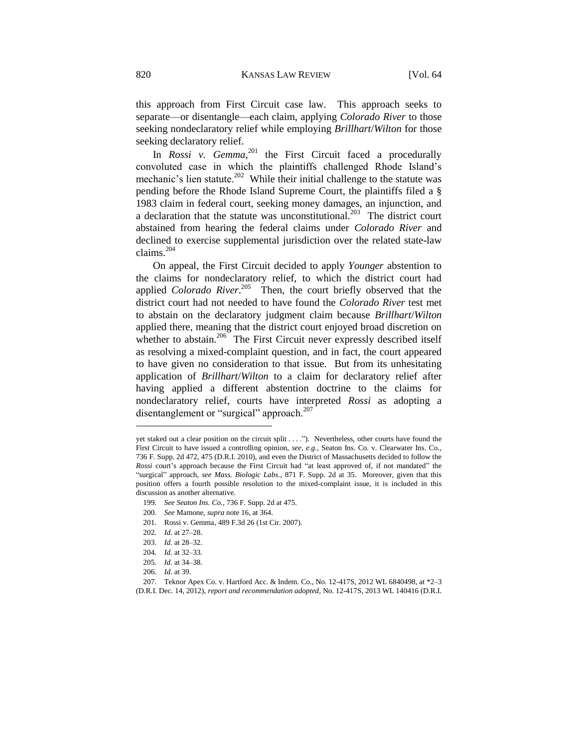this approach from First Circuit case law. This approach seeks to separate—or disentangle—each claim, applying *Colorado River* to those seeking nondeclaratory relief while employing *Brillhart*/*Wilton* for those seeking declaratory relief.

In *Rossi v. Gemma*,<sup>201</sup> the First Circuit faced a procedurally convoluted case in which the plaintiffs challenged Rhode Island's mechanic's lien statute.<sup>202</sup> While their initial challenge to the statute was pending before the Rhode Island Supreme Court, the plaintiffs filed a § 1983 claim in federal court, seeking money damages, an injunction, and a declaration that the statute was unconstitutional.<sup>203</sup> The district court abstained from hearing the federal claims under *Colorado River* and declined to exercise supplemental jurisdiction over the related state-law claims.<sup>204</sup>

On appeal, the First Circuit decided to apply *Younger* abstention to the claims for nondeclaratory relief, to which the district court had applied *Colorado River*. 205 Then, the court briefly observed that the district court had not needed to have found the *Colorado River* test met to abstain on the declaratory judgment claim because *Brillhart*/*Wilton* applied there, meaning that the district court enjoyed broad discretion on whether to abstain.<sup>206</sup> The First Circuit never expressly described itself as resolving a mixed-complaint question, and in fact, the court appeared to have given no consideration to that issue. But from its unhesitating application of *Brillhart*/*Wilton* to a claim for declaratory relief after having applied a different abstention doctrine to the claims for nondeclaratory relief, courts have interpreted *Rossi* as adopting a disentanglement or "surgical" approach.<sup>207</sup>

yet staked out a clear position on the circuit split . . . ."). Nevertheless, other courts have found the First Circuit to have issued a controlling opinion, *see, e.g.*, Seaton Ins. Co. v. Clearwater Ins. Co., 736 F. Supp. 2d 472, 475 (D.R.I. 2010), and even the District of Massachusetts decided to follow the *Rossi* court's approach because the First Circuit had "at least approved of, if not mandated" the "surgical" approach, *see Mass. Biologic Labs.*, 871 F. Supp. 2d at 35. Moreover, given that this position offers a fourth possible resolution to the mixed-complaint issue, it is included in this discussion as another alternative.

<sup>199.</sup> *See Seaton Ins. Co.*, 736 F. Supp. 2d at 475.

<sup>200.</sup> *See* Mamone, *supra* note 16, at 364.

<sup>201.</sup> Rossi v. Gemma, 489 F.3d 26 (1st Cir. 2007).

<sup>202.</sup> *Id.* at 27–28.

<sup>203.</sup> *Id.* at 28–32.

<sup>204.</sup> *Id.* at 32–33.

<sup>205.</sup> *Id.* at 34–38.

<sup>206.</sup> *Id.* at 39.

<sup>207.</sup> Teknor Apex Co. v. Hartford Acc. & Indem. Co., No. 12-417S, 2012 WL 6840498, at \*2–3 (D.R.I. Dec. 14, 2012), *report and recommendation adopted*, No. 12-417S, 2013 WL 140416 (D.R.I.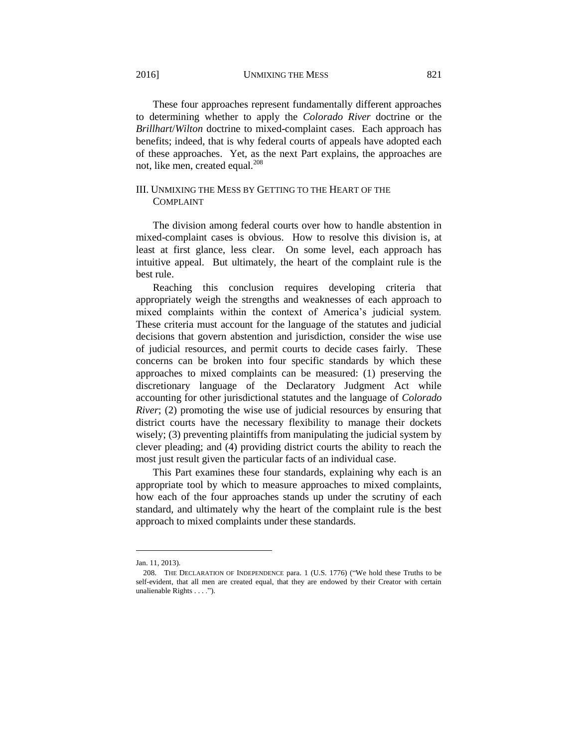2016] UNMIXING THE MESS 821

These four approaches represent fundamentally different approaches to determining whether to apply the *Colorado River* doctrine or the *Brillhart*/*Wilton* doctrine to mixed-complaint cases. Each approach has benefits; indeed, that is why federal courts of appeals have adopted each of these approaches. Yet, as the next Part explains, the approaches are not, like men, created equal.<sup>208</sup>

# III. UNMIXING THE MESS BY GETTING TO THE HEART OF THE COMPLAINT

The division among federal courts over how to handle abstention in mixed-complaint cases is obvious. How to resolve this division is, at least at first glance, less clear. On some level, each approach has intuitive appeal. But ultimately, the heart of the complaint rule is the best rule.

Reaching this conclusion requires developing criteria that appropriately weigh the strengths and weaknesses of each approach to mixed complaints within the context of America's judicial system. These criteria must account for the language of the statutes and judicial decisions that govern abstention and jurisdiction, consider the wise use of judicial resources, and permit courts to decide cases fairly. These concerns can be broken into four specific standards by which these approaches to mixed complaints can be measured: (1) preserving the discretionary language of the Declaratory Judgment Act while accounting for other jurisdictional statutes and the language of *Colorado River*; (2) promoting the wise use of judicial resources by ensuring that district courts have the necessary flexibility to manage their dockets wisely; (3) preventing plaintiffs from manipulating the judicial system by clever pleading; and (4) providing district courts the ability to reach the most just result given the particular facts of an individual case.

This Part examines these four standards, explaining why each is an appropriate tool by which to measure approaches to mixed complaints, how each of the four approaches stands up under the scrutiny of each standard, and ultimately why the heart of the complaint rule is the best approach to mixed complaints under these standards.

Jan. 11, 2013).

<sup>208.</sup> THE DECLARATION OF INDEPENDENCE para. 1 (U.S. 1776) ("We hold these Truths to be self-evident, that all men are created equal, that they are endowed by their Creator with certain unalienable Rights . . . .").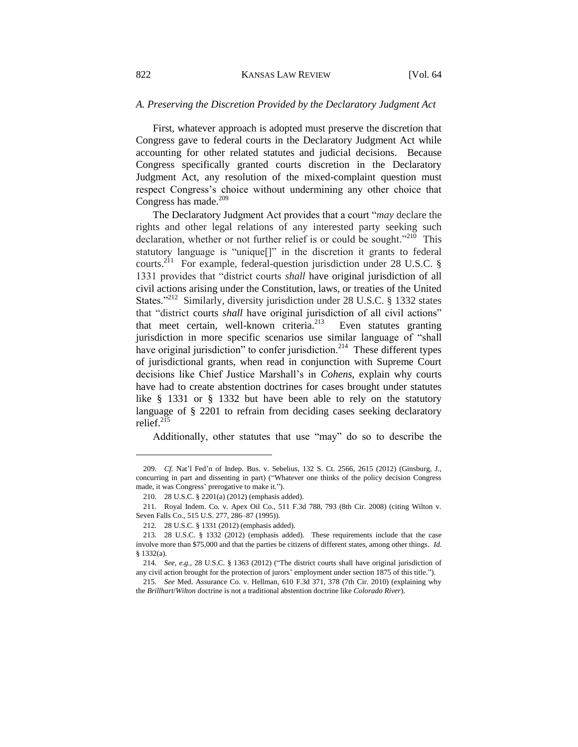### *A. Preserving the Discretion Provided by the Declaratory Judgment Act*

First, whatever approach is adopted must preserve the discretion that Congress gave to federal courts in the Declaratory Judgment Act while accounting for other related statutes and judicial decisions. Because Congress specifically granted courts discretion in the Declaratory Judgment Act, any resolution of the mixed-complaint question must respect Congress's choice without undermining any other choice that Congress has made.<sup>209</sup>

The Declaratory Judgment Act provides that a court "*may* declare the rights and other legal relations of any interested party seeking such declaration, whether or not further relief is or could be sought."<sup>210</sup> This statutory language is "unique[]" in the discretion it grants to federal courts.<sup>211</sup> For example, federal-question jurisdiction under 28 U.S.C. § 1331 provides that "district courts *shall* have original jurisdiction of all civil actions arising under the Constitution, laws, or treaties of the United States."<sup>212</sup> Similarly, diversity jurisdiction under 28 U.S.C. § 1332 states that "district courts *shall* have original jurisdiction of all civil actions" that meet certain, well-known criteria. $^{213}$  Even statutes granting jurisdiction in more specific scenarios use similar language of "shall have original jurisdiction" to confer jurisdiction.<sup>214</sup> These different types of jurisdictional grants, when read in conjunction with Supreme Court decisions like Chief Justice Marshall's in *Cohens*, explain why courts have had to create abstention doctrines for cases brought under statutes like § 1331 or § 1332 but have been able to rely on the statutory language of § 2201 to refrain from deciding cases seeking declaratory relief. $^{215}$ 

Additionally, other statutes that use "may" do so to describe the

<sup>209.</sup> *Cf.* Nat'l Fed'n of Indep. Bus. v. Sebelius, 132 S. Ct. 2566, 2615 (2012) (Ginsburg, J., concurring in part and dissenting in part) ("Whatever one thinks of the policy decision Congress made, it was Congress' prerogative to make it.").

<sup>210.</sup> 28 U.S.C. § 2201(a) (2012) (emphasis added).

<sup>211.</sup> Royal Indem. Co. v. Apex Oil Co., 511 F.3d 788, 793 (8th Cir. 2008) (citing Wilton v. Seven Falls Co., 515 U.S. 277, 286–87 (1995)).

<sup>212.</sup> 28 U.S.C. § 1331 (2012) (emphasis added).

<sup>213.</sup> 28 U.S.C. § 1332 (2012) (emphasis added). These requirements include that the case involve more than \$75,000 and that the parties be citizens of different states, among other things. *Id.* § 1332(a).

<sup>214.</sup> *See, e.g.*, 28 U.S.C. § 1363 (2012) ("The district courts shall have original jurisdiction of any civil action brought for the protection of jurors' employment under section 1875 of this title.").

<sup>215.</sup> *See* Med. Assurance Co. v. Hellman, 610 F.3d 371, 378 (7th Cir. 2010) (explaining why the *Brillhart*/*Wilton* doctrine is not a traditional abstention doctrine like *Colorado River*).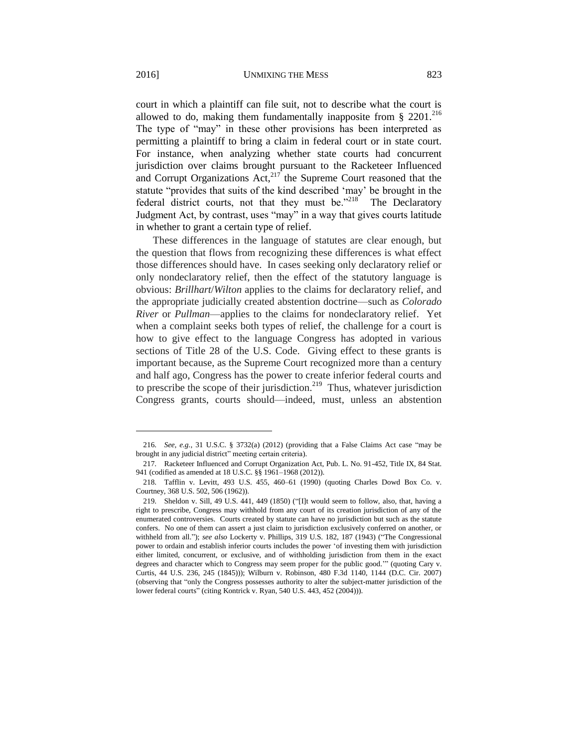court in which a plaintiff can file suit, not to describe what the court is allowed to do, making them fundamentally inapposite from  $\S 2201$ .<sup>216</sup> The type of "may" in these other provisions has been interpreted as permitting a plaintiff to bring a claim in federal court or in state court. For instance, when analyzing whether state courts had concurrent jurisdiction over claims brought pursuant to the Racketeer Influenced and Corrupt Organizations Act, $217$  the Supreme Court reasoned that the statute "provides that suits of the kind described 'may' be brought in the federal district courts, not that they must be."<sup>218</sup> The Declaratory Judgment Act, by contrast, uses "may" in a way that gives courts latitude in whether to grant a certain type of relief.

These differences in the language of statutes are clear enough, but the question that flows from recognizing these differences is what effect those differences should have. In cases seeking only declaratory relief or only nondeclaratory relief, then the effect of the statutory language is obvious: *Brillhart*/*Wilton* applies to the claims for declaratory relief, and the appropriate judicially created abstention doctrine—such as *Colorado River* or *Pullman*—applies to the claims for nondeclaratory relief. Yet when a complaint seeks both types of relief, the challenge for a court is how to give effect to the language Congress has adopted in various sections of Title 28 of the U.S. Code. Giving effect to these grants is important because, as the Supreme Court recognized more than a century and half ago, Congress has the power to create inferior federal courts and to prescribe the scope of their jurisdiction.<sup>219</sup> Thus, whatever jurisdiction Congress grants, courts should—indeed, must, unless an abstention

<sup>216.</sup> *See, e.g.*, 31 U.S.C. § 3732(a) (2012) (providing that a False Claims Act case "may be brought in any judicial district" meeting certain criteria).

<sup>217.</sup> Racketeer Influenced and Corrupt Organization Act, Pub. L. No. 91-452, Title IX, 84 Stat. 941 (codified as amended at 18 U.S.C. §§ 1961–1968 (2012)).

<sup>218.</sup> Tafflin v. Levitt, 493 U.S. 455, 460–61 (1990) (quoting Charles Dowd Box Co. v. Courtney, 368 U.S. 502, 506 (1962)).

<sup>219.</sup> Sheldon v. Sill, 49 U.S. 441, 449 (1850) ("[I]t would seem to follow, also, that, having a right to prescribe, Congress may withhold from any court of its creation jurisdiction of any of the enumerated controversies. Courts created by statute can have no jurisdiction but such as the statute confers. No one of them can assert a just claim to jurisdiction exclusively conferred on another, or withheld from all."); *see also* Lockerty v. Phillips, 319 U.S. 182, 187 (1943) ("The Congressional power to ordain and establish inferior courts includes the power 'of investing them with jurisdiction either limited, concurrent, or exclusive, and of withholding jurisdiction from them in the exact degrees and character which to Congress may seem proper for the public good.'" (quoting Cary v. Curtis, 44 U.S. 236, 245 (1845))); Wilburn v. Robinson, 480 F.3d 1140, 1144 (D.C. Cir. 2007) (observing that "only the Congress possesses authority to alter the subject-matter jurisdiction of the lower federal courts" (citing Kontrick v. Ryan, 540 U.S. 443, 452 (2004))).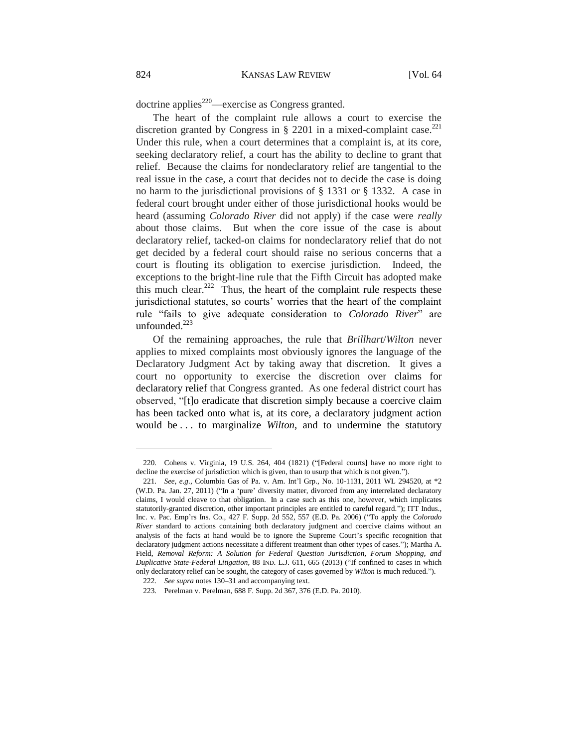$d$  doctrine applies<sup>220</sup>—exercise as Congress granted.

The heart of the complaint rule allows a court to exercise the discretion granted by Congress in  $\S$  2201 in a mixed-complaint case.<sup>221</sup> Under this rule, when a court determines that a complaint is, at its core, seeking declaratory relief, a court has the ability to decline to grant that relief. Because the claims for nondeclaratory relief are tangential to the real issue in the case, a court that decides not to decide the case is doing no harm to the jurisdictional provisions of § 1331 or § 1332. A case in federal court brought under either of those jurisdictional hooks would be heard (assuming *Colorado River* did not apply) if the case were *really* about those claims. But when the core issue of the case is about declaratory relief, tacked-on claims for nondeclaratory relief that do not get decided by a federal court should raise no serious concerns that a court is flouting its obligation to exercise jurisdiction. Indeed, the exceptions to the bright-line rule that the Fifth Circuit has adopted make this much clear.<sup>222</sup> Thus, the heart of the complaint rule respects these jurisdictional statutes, so courts' worries that the heart of the complaint rule "fails to give adequate consideration to *Colorado River*" are unfounded. 223

Of the remaining approaches, the rule that *Brillhart*/*Wilton* never applies to mixed complaints most obviously ignores the language of the Declaratory Judgment Act by taking away that discretion. It gives a court no opportunity to exercise the discretion over claims for declaratory relief that Congress granted. As one federal district court has observed, "[t]o eradicate that discretion simply because a coercive claim has been tacked onto what is, at its core, a declaratory judgment action would be . . . to marginalize *Wilton*, and to undermine the statutory

<sup>220.</sup> Cohens v. Virginia, 19 U.S. 264, 404 (1821) ("[Federal courts] have no more right to decline the exercise of jurisdiction which is given, than to usurp that which is not given.").

<sup>221.</sup> *See, e.g.*, Columbia Gas of Pa. v. Am. Int'l Grp., No. 10-1131, 2011 WL 294520, at \*2 (W.D. Pa. Jan. 27, 2011) ("In a 'pure' diversity matter, divorced from any interrelated declaratory claims, I would cleave to that obligation. In a case such as this one, however, which implicates statutorily-granted discretion, other important principles are entitled to careful regard."); ITT Indus., Inc. v. Pac. Emp'rs Ins. Co., 427 F. Supp. 2d 552, 557 (E.D. Pa. 2006) ("To apply the *Colorado River* standard to actions containing both declaratory judgment and coercive claims without an analysis of the facts at hand would be to ignore the Supreme Court's specific recognition that declaratory judgment actions necessitate a different treatment than other types of cases."); Martha A. Field, *Removal Reform: A Solution for Federal Question Jurisdiction, Forum Shopping, and Duplicative State-Federal Litigation*, 88 IND. L.J. 611, 665 (2013) ("If confined to cases in which only declaratory relief can be sought, the category of cases governed by *Wilton* is much reduced.").

<sup>222.</sup> *See supra* notes 130–31 and accompanying text.

<sup>223.</sup> Perelman v. Perelman, 688 F. Supp. 2d 367, 376 (E.D. Pa. 2010).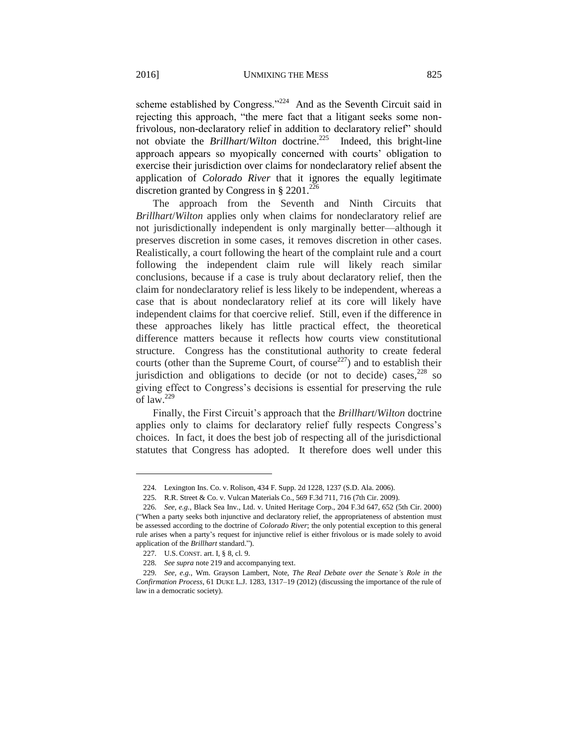scheme established by Congress."<sup>224</sup> And as the Seventh Circuit said in rejecting this approach, "the mere fact that a litigant seeks some nonfrivolous, non-declaratory relief in addition to declaratory relief" should not obviate the *Brillhart/Wilton* doctrine.<sup>225</sup> Indeed, this bright-line approach appears so myopically concerned with courts' obligation to exercise their jurisdiction over claims for nondeclaratory relief absent the application of *Colorado River* that it ignores the equally legitimate discretion granted by Congress in § 2201.<sup>226</sup>

The approach from the Seventh and Ninth Circuits that *Brillhart*/*Wilton* applies only when claims for nondeclaratory relief are not jurisdictionally independent is only marginally better—although it preserves discretion in some cases, it removes discretion in other cases. Realistically, a court following the heart of the complaint rule and a court following the independent claim rule will likely reach similar conclusions, because if a case is truly about declaratory relief, then the claim for nondeclaratory relief is less likely to be independent, whereas a case that is about nondeclaratory relief at its core will likely have independent claims for that coercive relief. Still, even if the difference in these approaches likely has little practical effect, the theoretical difference matters because it reflects how courts view constitutional structure. Congress has the constitutional authority to create federal courts (other than the Supreme Court, of course<sup>227</sup>) and to establish their jurisdiction and obligations to decide (or not to decide) cases,  $228$  so giving effect to Congress's decisions is essential for preserving the rule of law.<sup>229</sup>

Finally, the First Circuit's approach that the *Brillhart*/*Wilton* doctrine applies only to claims for declaratory relief fully respects Congress's choices. In fact, it does the best job of respecting all of the jurisdictional statutes that Congress has adopted. It therefore does well under this

<sup>224.</sup> Lexington Ins. Co. v. Rolison, 434 F. Supp. 2d 1228, 1237 (S.D. Ala. 2006).

<sup>225.</sup> R.R. Street & Co. v. Vulcan Materials Co., 569 F.3d 711, 716 (7th Cir. 2009).

<sup>226.</sup> *See, e.g.*, Black Sea Inv., Ltd. v. United Heritage Corp., 204 F.3d 647, 652 (5th Cir. 2000) ("When a party seeks both injunctive and declaratory relief, the appropriateness of abstention must be assessed according to the doctrine of *Colorado River*; the only potential exception to this general rule arises when a party's request for injunctive relief is either frivolous or is made solely to avoid application of the *Brillhart* standard.").

<sup>227.</sup> U.S. CONST. art. I, § 8, cl. 9.

<sup>228.</sup> *See supra* note 219 and accompanying text.

<sup>229.</sup> *See, e.g.*, Wm. Grayson Lambert, Note, *The Real Debate over the Senate's Role in the Confirmation Process*, 61 DUKE L.J. 1283, 1317–19 (2012) (discussing the importance of the rule of law in a democratic society).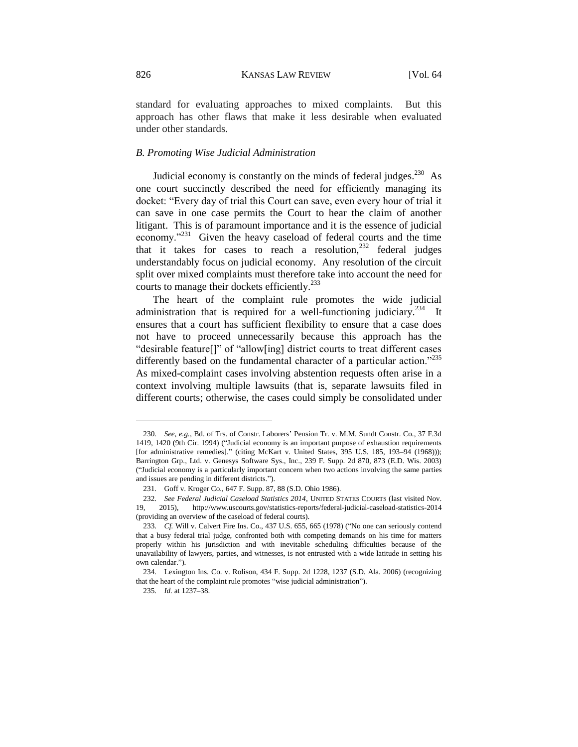standard for evaluating approaches to mixed complaints. But this approach has other flaws that make it less desirable when evaluated under other standards.

#### *B. Promoting Wise Judicial Administration*

Judicial economy is constantly on the minds of federal judges. $^{230}$  As one court succinctly described the need for efficiently managing its docket: "Every day of trial this Court can save, even every hour of trial it can save in one case permits the Court to hear the claim of another litigant. This is of paramount importance and it is the essence of judicial economy."<sup>231</sup> Given the heavy caseload of federal courts and the time that it takes for cases to reach a resolution,  $232$  federal judges understandably focus on judicial economy. Any resolution of the circuit split over mixed complaints must therefore take into account the need for courts to manage their dockets efficiently.<sup>233</sup>

The heart of the complaint rule promotes the wide judicial administration that is required for a well-functioning judiciary.<sup>234</sup> It ensures that a court has sufficient flexibility to ensure that a case does not have to proceed unnecessarily because this approach has the "desirable feature[]" of "allow[ing] district courts to treat different cases differently based on the fundamental character of a particular action."<sup>235</sup> As mixed-complaint cases involving abstention requests often arise in a context involving multiple lawsuits (that is, separate lawsuits filed in different courts; otherwise, the cases could simply be consolidated under

<sup>230.</sup> *See, e.g.*, Bd. of Trs. of Constr. Laborers' Pension Tr. v. M.M. Sundt Constr. Co., 37 F.3d 1419, 1420 (9th Cir. 1994) ("Judicial economy is an important purpose of exhaustion requirements [for administrative remedies]." (citing McKart v. United States, 395 U.S. 185, 193–94 (1968))); Barrington Grp., Ltd. v. Genesys Software Sys., Inc., 239 F. Supp. 2d 870, 873 (E.D. Wis. 2003) ("Judicial economy is a particularly important concern when two actions involving the same parties and issues are pending in different districts.").

<sup>231.</sup> Goff v. Kroger Co., 647 F. Supp. 87, 88 (S.D. Ohio 1986).

<sup>232.</sup> *See Federal Judicial Caseload Statistics 2014*, UNITED STATES COURTS (last visited Nov. 19, 2015), http://www.uscourts.gov/statistics-reports/federal-judicial-caseload-statistics-2014 (providing an overview of the caseload of federal courts).

<sup>233.</sup> *Cf.* Will v. Calvert Fire Ins. Co., 437 U.S. 655, 665 (1978) ("No one can seriously contend that a busy federal trial judge, confronted both with competing demands on his time for matters properly within his jurisdiction and with inevitable scheduling difficulties because of the unavailability of lawyers, parties, and witnesses, is not entrusted with a wide latitude in setting his own calendar.").

<sup>234.</sup> Lexington Ins. Co. v. Rolison, 434 F. Supp. 2d 1228, 1237 (S.D. Ala. 2006) (recognizing that the heart of the complaint rule promotes "wise judicial administration").

<sup>235.</sup> *Id.* at 1237–38.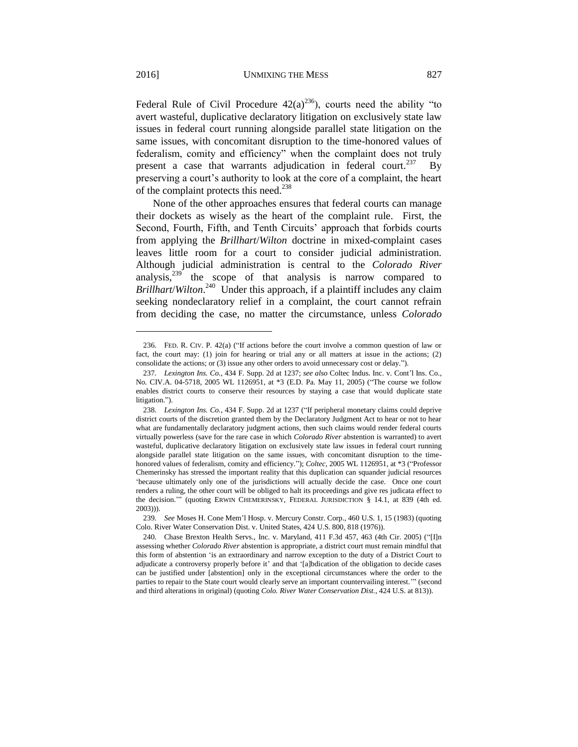Federal Rule of Civil Procedure  $42(a)^{236}$ , courts need the ability "to avert wasteful, duplicative declaratory litigation on exclusively state law issues in federal court running alongside parallel state litigation on the same issues, with concomitant disruption to the time-honored values of federalism, comity and efficiency" when the complaint does not truly present a case that warrants adjudication in federal court.<sup>237</sup> By preserving a court's authority to look at the core of a complaint, the heart of the complaint protects this need.<sup>238</sup>

None of the other approaches ensures that federal courts can manage their dockets as wisely as the heart of the complaint rule. First, the Second, Fourth, Fifth, and Tenth Circuits' approach that forbids courts from applying the *Brillhart*/*Wilton* doctrine in mixed-complaint cases leaves little room for a court to consider judicial administration. Although judicial administration is central to the *Colorado River* analysis,<sup>239</sup> the scope of that analysis is narrow compared to Brillhart/*Wilton*<sup>240</sup> Under this approach, if a plaintiff includes any claim seeking nondeclaratory relief in a complaint, the court cannot refrain from deciding the case, no matter the circumstance, unless *Colorado* 

<sup>236.</sup> FED. R. CIV. P. 42(a) ("If actions before the court involve a common question of law or fact, the court may: (1) join for hearing or trial any or all matters at issue in the actions; (2) consolidate the actions; or (3) issue any other orders to avoid unnecessary cost or delay.").

<sup>237.</sup> *Lexington Ins. Co*., 434 F. Supp. 2d at 1237; *see also* Coltec Indus. Inc. v. Cont'l Ins. Co., No. CIV.A. 04-5718, 2005 WL 1126951, at \*3 (E.D. Pa. May 11, 2005) ("The course we follow enables district courts to conserve their resources by staying a case that would duplicate state litigation.").

<sup>238.</sup> *Lexington Ins. Co.*, 434 F. Supp. 2d at 1237 ("If peripheral monetary claims could deprive district courts of the discretion granted them by the Declaratory Judgment Act to hear or not to hear what are fundamentally declaratory judgment actions, then such claims would render federal courts virtually powerless (save for the rare case in which *Colorado River* abstention is warranted) to avert wasteful, duplicative declaratory litigation on exclusively state law issues in federal court running alongside parallel state litigation on the same issues, with concomitant disruption to the timehonored values of federalism, comity and efficiency."); *Coltec*, 2005 WL 1126951, at \*3 ("Professor Chemerinsky has stressed the important reality that this duplication can squander judicial resources 'because ultimately only one of the jurisdictions will actually decide the case. Once one court renders a ruling, the other court will be obliged to halt its proceedings and give res judicata effect to the decision.'" (quoting ERWIN CHEMERINSKY, FEDERAL JURISDICTION § 14.1, at 839 (4th ed. 2003))).

<sup>239.</sup> *See* Moses H. Cone Mem'l Hosp. v. Mercury Constr. Corp., 460 U.S. 1, 15 (1983) (quoting Colo. River Water Conservation Dist. v. United States, 424 U.S. 800, 818 (1976)).

<sup>240.</sup> Chase Brexton Health Servs., Inc. v. Maryland, 411 F.3d 457, 463 (4th Cir. 2005) ("[I]n assessing whether *Colorado River* abstention is appropriate, a district court must remain mindful that this form of abstention 'is an extraordinary and narrow exception to the duty of a District Court to adjudicate a controversy properly before it' and that '[a]bdication of the obligation to decide cases can be justified under [abstention] only in the exceptional circumstances where the order to the parties to repair to the State court would clearly serve an important countervailing interest.'" (second and third alterations in original) (quoting *Colo. River Water Conservation Dist.*, 424 U.S. at 813)).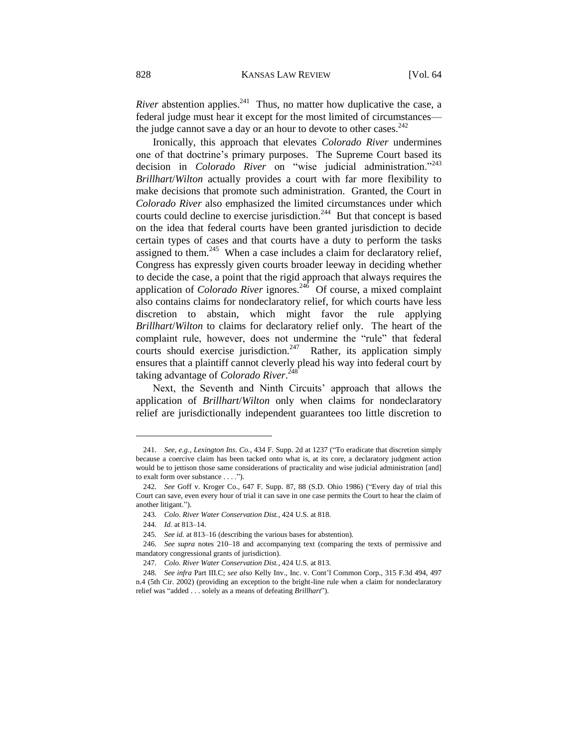*River* abstention applies.<sup>241</sup> Thus, no matter how duplicative the case, a federal judge must hear it except for the most limited of circumstances the judge cannot save a day or an hour to devote to other cases.  $242$ 

Ironically, this approach that elevates *Colorado River* undermines one of that doctrine's primary purposes. The Supreme Court based its decision in *Colorado River* on "wise judicial administration."<sup>243</sup> *Brillhart*/*Wilton* actually provides a court with far more flexibility to make decisions that promote such administration. Granted, the Court in *Colorado River* also emphasized the limited circumstances under which courts could decline to exercise jurisdiction.<sup>244</sup> But that concept is based on the idea that federal courts have been granted jurisdiction to decide certain types of cases and that courts have a duty to perform the tasks assigned to them.<sup>245</sup> When a case includes a claim for declaratory relief, Congress has expressly given courts broader leeway in deciding whether to decide the case, a point that the rigid approach that always requires the application of *Colorado River* ignores.<sup>246</sup> Of course, a mixed complaint also contains claims for nondeclaratory relief, for which courts have less discretion to abstain, which might favor the rule applying *Brillhart*/*Wilton* to claims for declaratory relief only. The heart of the complaint rule, however, does not undermine the "rule" that federal courts should exercise jurisdiction.<sup>247</sup> Rather, its application simply ensures that a plaintiff cannot cleverly plead his way into federal court by taking advantage of *Colorado River*. 248

Next, the Seventh and Ninth Circuits' approach that allows the application of *Brillhart*/*Wilton* only when claims for nondeclaratory relief are jurisdictionally independent guarantees too little discretion to

<sup>241.</sup> *See, e.g.*, *Lexington Ins. Co.*, 434 F. Supp. 2d at 1237 ("To eradicate that discretion simply because a coercive claim has been tacked onto what is, at its core, a declaratory judgment action would be to jettison those same considerations of practicality and wise judicial administration [and] to exalt form over substance . . . .").

<sup>242.</sup> *See* Goff v. Kroger Co., 647 F. Supp. 87, 88 (S.D. Ohio 1986) ("Every day of trial this Court can save, even every hour of trial it can save in one case permits the Court to hear the claim of another litigant.").

<sup>243.</sup> *Colo. River Water Conservation Dist.*, 424 U.S. at 818.

<sup>244.</sup> *Id.* at 813–14.

<sup>245.</sup> *See id.* at 813–16 (describing the various bases for abstention).

<sup>246.</sup> *See supra* notes 210–18 and accompanying text (comparing the texts of permissive and mandatory congressional grants of jurisdiction).

<sup>247.</sup> *Colo. River Water Conservation Dist.*, 424 U.S. at 813.

<sup>248.</sup> *See infra* Part III.C; *see also* Kelly Inv., Inc. v. Cont'l Common Corp., 315 F.3d 494, 497 n.4 (5th Cir. 2002) (providing an exception to the bright-line rule when a claim for nondeclaratory relief was "added . . . solely as a means of defeating *Brillhart*").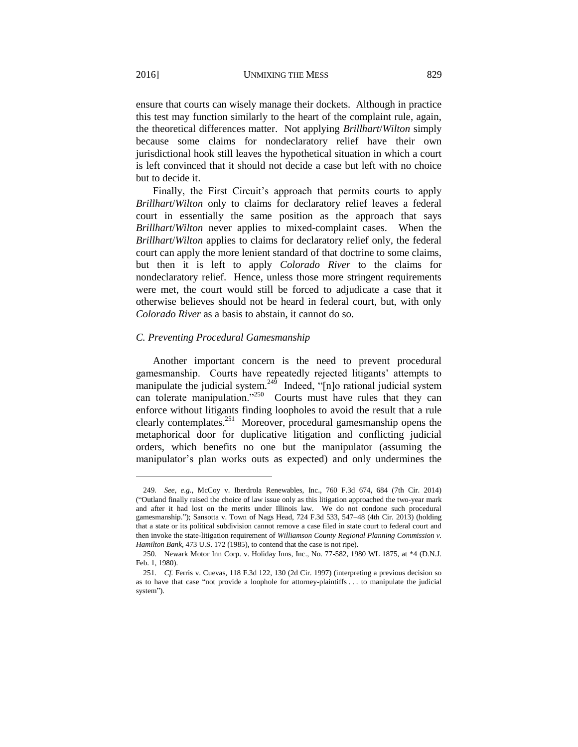ensure that courts can wisely manage their dockets. Although in practice this test may function similarly to the heart of the complaint rule, again, the theoretical differences matter. Not applying *Brillhart*/*Wilton* simply because some claims for nondeclaratory relief have their own jurisdictional hook still leaves the hypothetical situation in which a court is left convinced that it should not decide a case but left with no choice but to decide it.

Finally, the First Circuit's approach that permits courts to apply *Brillhart*/*Wilton* only to claims for declaratory relief leaves a federal court in essentially the same position as the approach that says *Brillhart*/*Wilton* never applies to mixed-complaint cases. When the *Brillhart*/*Wilton* applies to claims for declaratory relief only, the federal court can apply the more lenient standard of that doctrine to some claims, but then it is left to apply *Colorado River* to the claims for nondeclaratory relief. Hence, unless those more stringent requirements were met, the court would still be forced to adjudicate a case that it otherwise believes should not be heard in federal court, but, with only *Colorado River* as a basis to abstain, it cannot do so.

### *C. Preventing Procedural Gamesmanship*

Another important concern is the need to prevent procedural gamesmanship. Courts have repeatedly rejected litigants' attempts to manipulate the judicial system.<sup>249</sup> Indeed, "[n]o rational judicial system can tolerate manipulation."<sup>250</sup> Courts must have rules that they can enforce without litigants finding loopholes to avoid the result that a rule clearly contemplates.<sup>251</sup> Moreover, procedural gamesmanship opens the metaphorical door for duplicative litigation and conflicting judicial orders, which benefits no one but the manipulator (assuming the manipulator's plan works outs as expected) and only undermines the

<sup>249</sup>*. See, e.g.*, McCoy v. Iberdrola Renewables, Inc., 760 F.3d 674, 684 (7th Cir. 2014) ("Outland finally raised the choice of law issue only as this litigation approached the two-year mark and after it had lost on the merits under Illinois law. We do not condone such procedural gamesmanship."); Sansotta v. Town of Nags Head, 724 F.3d 533, 547–48 (4th Cir. 2013) (holding that a state or its political subdivision cannot remove a case filed in state court to federal court and then invoke the state-litigation requirement of *Williamson County Regional Planning Commission v. Hamilton Bank*, 473 U.S. 172 (1985), to contend that the case is not ripe).

<sup>250.</sup> Newark Motor Inn Corp. v. Holiday Inns, Inc., No. 77-582, 1980 WL 1875, at \*4 (D.N.J. Feb. 1, 1980).

<sup>251.</sup> *Cf.* Ferris v. Cuevas, 118 F.3d 122, 130 (2d Cir. 1997) (interpreting a previous decision so as to have that case "not provide a loophole for attorney-plaintiffs . . . to manipulate the judicial system").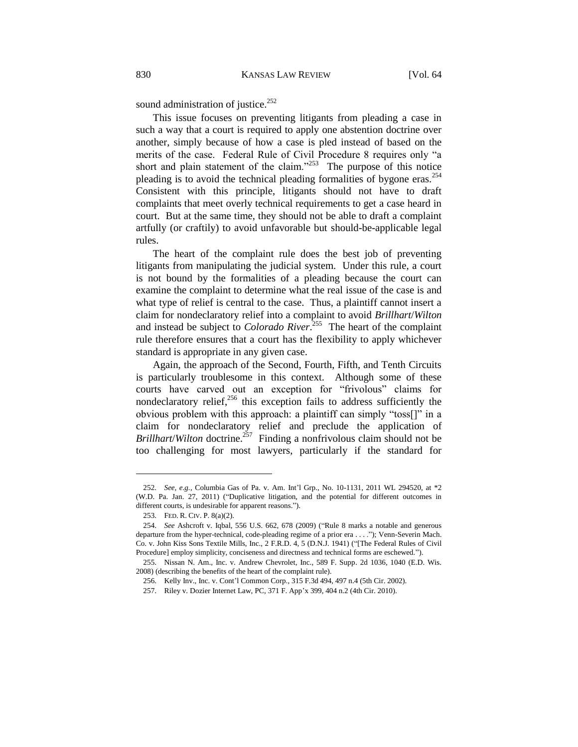sound administration of justice.<sup>252</sup>

This issue focuses on preventing litigants from pleading a case in such a way that a court is required to apply one abstention doctrine over another, simply because of how a case is pled instead of based on the merits of the case. Federal Rule of Civil Procedure 8 requires only "a short and plain statement of the claim." $253$  The purpose of this notice pleading is to avoid the technical pleading formalities of bygone eras.<sup>254</sup> Consistent with this principle, litigants should not have to draft complaints that meet overly technical requirements to get a case heard in court. But at the same time, they should not be able to draft a complaint artfully (or craftily) to avoid unfavorable but should-be-applicable legal rules.

The heart of the complaint rule does the best job of preventing litigants from manipulating the judicial system. Under this rule, a court is not bound by the formalities of a pleading because the court can examine the complaint to determine what the real issue of the case is and what type of relief is central to the case. Thus, a plaintiff cannot insert a claim for nondeclaratory relief into a complaint to avoid *Brillhart*/*Wilton*  and instead be subject to *Colorado River*<sup>255</sup> The heart of the complaint rule therefore ensures that a court has the flexibility to apply whichever standard is appropriate in any given case.

Again, the approach of the Second, Fourth, Fifth, and Tenth Circuits is particularly troublesome in this context. Although some of these courts have carved out an exception for "frivolous" claims for nondeclaratory relief, $^{256}$  this exception fails to address sufficiently the obvious problem with this approach: a plaintiff can simply "toss[]" in a claim for nondeclaratory relief and preclude the application of *Brillhart/Wilton* doctrine.<sup>257</sup> Finding a nonfrivolous claim should not be too challenging for most lawyers, particularly if the standard for

<sup>252.</sup> *See, e.g.*, Columbia Gas of Pa. v. Am. Int'l Grp., No. 10-1131, 2011 WL 294520, at \*2 (W.D. Pa. Jan. 27, 2011) ("Duplicative litigation, and the potential for different outcomes in different courts, is undesirable for apparent reasons.").

<sup>253.</sup> FED. R. CIV. P. 8(a)(2).

<sup>254.</sup> *See* Ashcroft v. Iqbal, 556 U.S. 662, 678 (2009) ("Rule 8 marks a notable and generous departure from the hyper-technical, code-pleading regime of a prior era . . . ."); Venn-Severin Mach. Co. v. John Kiss Sons Textile Mills, Inc., 2 F.R.D. 4, 5 (D.N.J. 1941) ("[The Federal Rules of Civil Procedure] employ simplicity, conciseness and directness and technical forms are eschewed.").

<sup>255.</sup> Nissan N. Am., Inc. v. Andrew Chevrolet, Inc., 589 F. Supp. 2d 1036, 1040 (E.D. Wis. 2008) (describing the benefits of the heart of the complaint rule).

<sup>256.</sup> Kelly Inv., Inc. v. Cont'l Common Corp., 315 F.3d 494, 497 n.4 (5th Cir. 2002).

<sup>257.</sup> Riley v. Dozier Internet Law, PC, 371 F. App'x 399, 404 n.2 (4th Cir. 2010).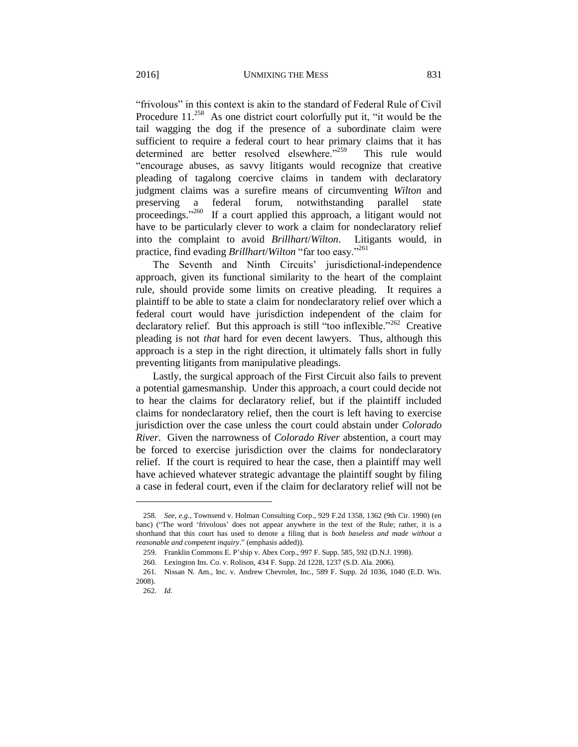"frivolous" in this context is akin to the standard of Federal Rule of Civil Procedure  $11^{258}$  As one district court colorfully put it, "it would be the tail wagging the dog if the presence of a subordinate claim were sufficient to require a federal court to hear primary claims that it has determined are better resolved elsewhere."<sup>259</sup> This rule would "encourage abuses, as savvy litigants would recognize that creative pleading of tagalong coercive claims in tandem with declaratory judgment claims was a surefire means of circumventing *Wilton* and preserving a federal forum, notwithstanding parallel state proceedings."<sup>260</sup> If a court applied this approach, a litigant would not have to be particularly clever to work a claim for nondeclaratory relief into the complaint to avoid *Brillhart*/*Wilton*. Litigants would, in practice, find evading *Brillhart*/*Wilton* "far too easy."<sup>261</sup>

The Seventh and Ninth Circuits' jurisdictional-independence approach, given its functional similarity to the heart of the complaint rule, should provide some limits on creative pleading. It requires a plaintiff to be able to state a claim for nondeclaratory relief over which a federal court would have jurisdiction independent of the claim for declaratory relief. But this approach is still "too inflexible."<sup>262</sup> Creative pleading is not *that* hard for even decent lawyers. Thus, although this approach is a step in the right direction, it ultimately falls short in fully preventing litigants from manipulative pleadings.

Lastly, the surgical approach of the First Circuit also fails to prevent a potential gamesmanship. Under this approach, a court could decide not to hear the claims for declaratory relief, but if the plaintiff included claims for nondeclaratory relief, then the court is left having to exercise jurisdiction over the case unless the court could abstain under *Colorado River*. Given the narrowness of *Colorado River* abstention, a court may be forced to exercise jurisdiction over the claims for nondeclaratory relief. If the court is required to hear the case, then a plaintiff may well have achieved whatever strategic advantage the plaintiff sought by filing a case in federal court, even if the claim for declaratory relief will not be

<sup>258.</sup> *See, e.g.*, Townsend v. Holman Consulting Corp., 929 F.2d 1358, 1362 (9th Cir. 1990) (en banc) ("The word 'frivolous' does not appear anywhere in the text of the Rule; rather, it is a shorthand that this court has used to denote a filing that is *both baseless and made without a reasonable and competent inquiry*." (emphasis added)).

<sup>259.</sup> Franklin Commons E. P'ship v. Abex Corp., 997 F. Supp. 585, 592 (D.N.J. 1998).

<sup>260.</sup> Lexington Ins. Co. v. Rolison, 434 F. Supp. 2d 1228, 1237 (S.D. Ala. 2006).

<sup>261.</sup> Nissan N. Am., Inc. v. Andrew Chevrolet, Inc., 589 F. Supp. 2d 1036, 1040 (E.D. Wis. 2008).

<sup>262.</sup> *Id.*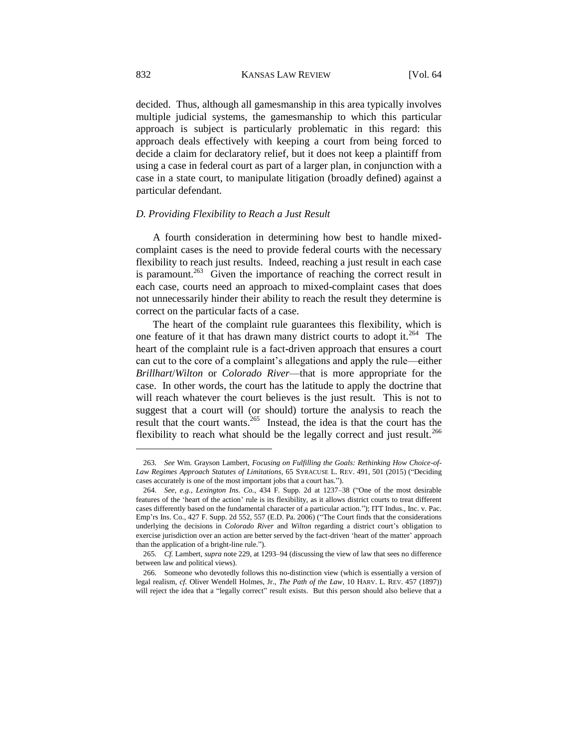decided. Thus, although all gamesmanship in this area typically involves multiple judicial systems, the gamesmanship to which this particular approach is subject is particularly problematic in this regard: this approach deals effectively with keeping a court from being forced to decide a claim for declaratory relief, but it does not keep a plaintiff from using a case in federal court as part of a larger plan, in conjunction with a case in a state court, to manipulate litigation (broadly defined) against a particular defendant.

### *D. Providing Flexibility to Reach a Just Result*

A fourth consideration in determining how best to handle mixedcomplaint cases is the need to provide federal courts with the necessary flexibility to reach just results. Indeed, reaching a just result in each case is paramount.<sup>263</sup> Given the importance of reaching the correct result in each case, courts need an approach to mixed-complaint cases that does not unnecessarily hinder their ability to reach the result they determine is correct on the particular facts of a case.

The heart of the complaint rule guarantees this flexibility, which is one feature of it that has drawn many district courts to adopt it.<sup>264</sup> The heart of the complaint rule is a fact-driven approach that ensures a court can cut to the core of a complaint's allegations and apply the rule—either *Brillhart*/*Wilton* or *Colorado River*—that is more appropriate for the case. In other words, the court has the latitude to apply the doctrine that will reach whatever the court believes is the just result. This is not to suggest that a court will (or should) torture the analysis to reach the result that the court wants. 265 Instead, the idea is that the court has the flexibility to reach what should be the legally correct and just result.<sup>266</sup>

 $\overline{\phantom{a}}$ 

<sup>263.</sup> *See* Wm. Grayson Lambert, *Focusing on Fulfilling the Goals: Rethinking How Choice-of-Law Regimes Approach Statutes of Limitations*, 65 SYRACUSE L. REV. 491, 501 (2015) ("Deciding cases accurately is one of the most important jobs that a court has.").

<sup>264.</sup> *See, e.g.*, *Lexington Ins. Co.*, 434 F. Supp. 2d at 1237–38 ("One of the most desirable features of the 'heart of the action' rule is its flexibility, as it allows district courts to treat different cases differently based on the fundamental character of a particular action."); ITT Indus., Inc. v. Pac. Emp'rs Ins. Co., 427 F. Supp. 2d 552, 557 (E.D. Pa. 2006) ("The Court finds that the considerations underlying the decisions in *Colorado River* and *Wilton* regarding a district court's obligation to exercise jurisdiction over an action are better served by the fact-driven 'heart of the matter' approach than the application of a bright-line rule.").

<sup>265.</sup> *Cf.* Lambert, *supra* note 229, at 1293–94 (discussing the view of law that sees no difference between law and political views).

<sup>266.</sup> Someone who devotedly follows this no-distinction view (which is essentially a version of legal realism, *cf.* Oliver Wendell Holmes, Jr., *The Path of the Law*, 10 HARV. L. REV. 457 (1897)) will reject the idea that a "legally correct" result exists. But this person should also believe that a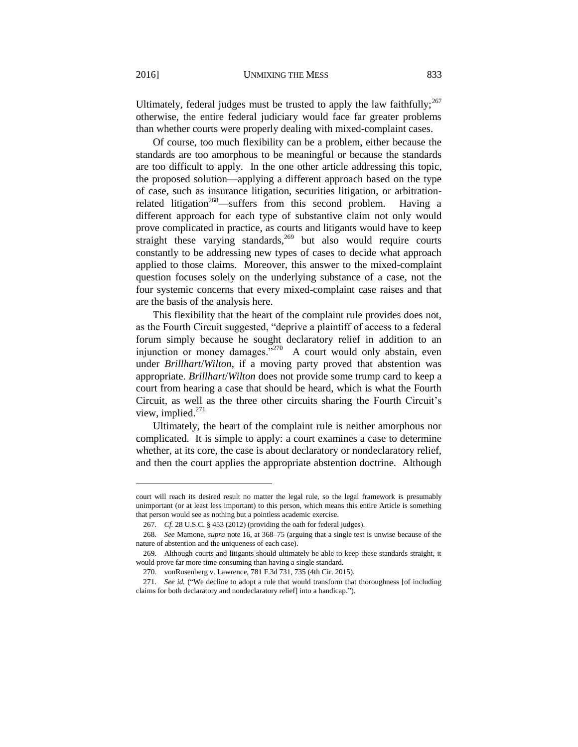Ultimately, federal judges must be trusted to apply the law faithfully; $^{267}$ otherwise, the entire federal judiciary would face far greater problems than whether courts were properly dealing with mixed-complaint cases.

Of course, too much flexibility can be a problem, either because the standards are too amorphous to be meaningful or because the standards are too difficult to apply. In the one other article addressing this topic, the proposed solution—applying a different approach based on the type of case, such as insurance litigation, securities litigation, or arbitrationrelated litigation<sup>268</sup>—suffers from this second problem. Having a different approach for each type of substantive claim not only would prove complicated in practice, as courts and litigants would have to keep straight these varying standards,  $269$  but also would require courts constantly to be addressing new types of cases to decide what approach applied to those claims. Moreover, this answer to the mixed-complaint question focuses solely on the underlying substance of a case, not the four systemic concerns that every mixed-complaint case raises and that are the basis of the analysis here.

This flexibility that the heart of the complaint rule provides does not, as the Fourth Circuit suggested, "deprive a plaintiff of access to a federal forum simply because he sought declaratory relief in addition to an injunction or money damages."<sup>270</sup> A court would only abstain, even under *Brillhart*/*Wilton*, if a moving party proved that abstention was appropriate. *Brillhart*/*Wilton* does not provide some trump card to keep a court from hearing a case that should be heard, which is what the Fourth Circuit, as well as the three other circuits sharing the Fourth Circuit's view, implied.<sup>271</sup>

Ultimately, the heart of the complaint rule is neither amorphous nor complicated. It is simple to apply: a court examines a case to determine whether, at its core, the case is about declaratory or nondeclaratory relief, and then the court applies the appropriate abstention doctrine. Although

 $\overline{\phantom{a}}$ 

court will reach its desired result no matter the legal rule, so the legal framework is presumably unimportant (or at least less important) to this person, which means this entire Article is something that person would see as nothing but a pointless academic exercise.

<sup>267.</sup> *Cf.* 28 U.S.C. § 453 (2012) (providing the oath for federal judges).

<sup>268.</sup> *See* Mamone, *supra* note 16, at 368–75 (arguing that a single test is unwise because of the nature of abstention and the uniqueness of each case).

<sup>269.</sup> Although courts and litigants should ultimately be able to keep these standards straight, it would prove far more time consuming than having a single standard.

<sup>270.</sup> vonRosenberg v. Lawrence, 781 F.3d 731, 735 (4th Cir. 2015).

<sup>271.</sup> *See id.* ("We decline to adopt a rule that would transform that thoroughness [of including claims for both declaratory and nondeclaratory relief] into a handicap.").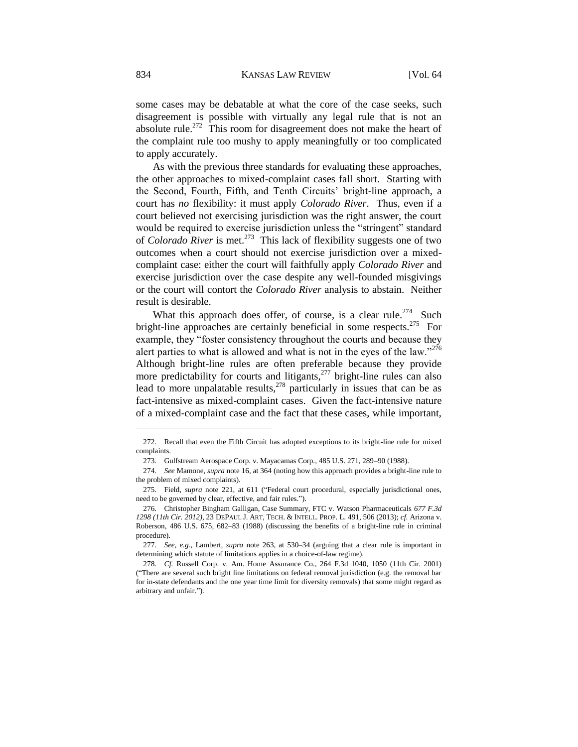some cases may be debatable at what the core of the case seeks, such disagreement is possible with virtually any legal rule that is not an absolute rule.<sup>272</sup> This room for disagreement does not make the heart of the complaint rule too mushy to apply meaningfully or too complicated to apply accurately.

As with the previous three standards for evaluating these approaches, the other approaches to mixed-complaint cases fall short. Starting with the Second, Fourth, Fifth, and Tenth Circuits' bright-line approach, a court has *no* flexibility: it must apply *Colorado River*. Thus, even if a court believed not exercising jurisdiction was the right answer, the court would be required to exercise jurisdiction unless the "stringent" standard of *Colorado River* is met.<sup>273</sup> This lack of flexibility suggests one of two outcomes when a court should not exercise jurisdiction over a mixedcomplaint case: either the court will faithfully apply *Colorado River* and exercise jurisdiction over the case despite any well-founded misgivings or the court will contort the *Colorado River* analysis to abstain. Neither result is desirable.

What this approach does offer, of course, is a clear rule.<sup>274</sup> Such bright-line approaches are certainly beneficial in some respects.<sup>275</sup> For example, they "foster consistency throughout the courts and because they alert parties to what is allowed and what is not in the eyes of the law." $276$ Although bright-line rules are often preferable because they provide more predictability for courts and litigants, $277$  bright-line rules can also lead to more unpalatable results, $278$  particularly in issues that can be as fact-intensive as mixed-complaint cases. Given the fact-intensive nature of a mixed-complaint case and the fact that these cases, while important,

<sup>272.</sup> Recall that even the Fifth Circuit has adopted exceptions to its bright-line rule for mixed complaints.

<sup>273.</sup> Gulfstream Aerospace Corp. v. Mayacamas Corp., 485 U.S. 271, 289–90 (1988).

<sup>274.</sup> *See* Mamone, *supra* note 16, at 364 (noting how this approach provides a bright-line rule to the problem of mixed complaints).

<sup>275.</sup> Field, *supra* note 221, at 611 ("Federal court procedural, especially jurisdictional ones, need to be governed by clear, effective, and fair rules.").

<sup>276.</sup> Christopher Bingham Galligan, Case Summary, FTC v. Watson Pharmaceuticals *677 F.3d 1298 (11th Cir. 2012)*, 23 DEPAUL J. ART, TECH. & INTELL. PROP. L. 491, 506 (2013); *cf.* Arizona v. Roberson, 486 U.S. 675, 682–83 (1988) (discussing the benefits of a bright-line rule in criminal procedure).

<sup>277.</sup> *See, e.g.*, Lambert, *supra* note 263, at 530–34 (arguing that a clear rule is important in determining which statute of limitations applies in a choice-of-law regime).

<sup>278.</sup> *Cf.* Russell Corp. v. Am. Home Assurance Co., 264 F.3d 1040, 1050 (11th Cir. 2001) ("There are several such bright line limitations on federal removal jurisdiction (e.g. the removal bar for in-state defendants and the one year time limit for diversity removals) that some might regard as arbitrary and unfair.").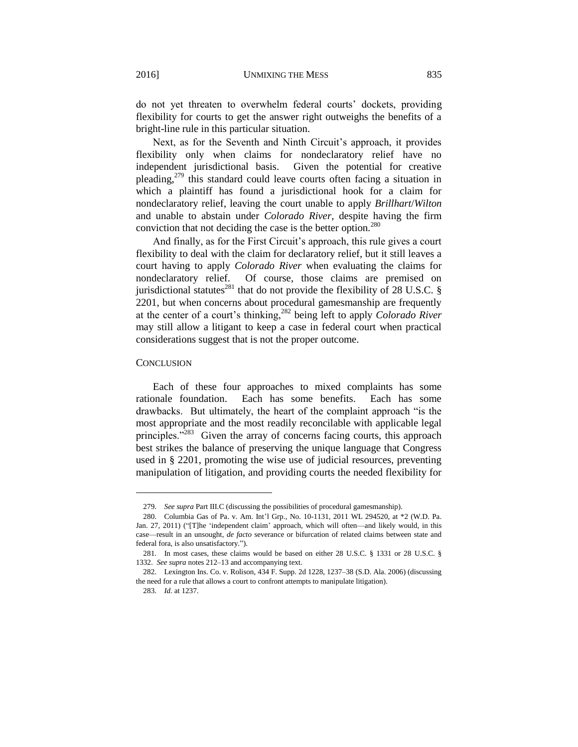do not yet threaten to overwhelm federal courts' dockets, providing flexibility for courts to get the answer right outweighs the benefits of a bright-line rule in this particular situation.

Next, as for the Seventh and Ninth Circuit's approach, it provides flexibility only when claims for nondeclaratory relief have no independent jurisdictional basis. Given the potential for creative pleading, $2^{79}$  this standard could leave courts often facing a situation in which a plaintiff has found a jurisdictional hook for a claim for nondeclaratory relief, leaving the court unable to apply *Brillhart*/*Wilton* and unable to abstain under *Colorado River*, despite having the firm conviction that not deciding the case is the better option.<sup>280</sup>

And finally, as for the First Circuit's approach, this rule gives a court flexibility to deal with the claim for declaratory relief, but it still leaves a court having to apply *Colorado River* when evaluating the claims for nondeclaratory relief. Of course, those claims are premised on jurisdictional statutes<sup>281</sup> that do not provide the flexibility of 28 U.S.C. § 2201, but when concerns about procedural gamesmanship are frequently at the center of a court's thinking,<sup>282</sup> being left to apply *Colorado River* may still allow a litigant to keep a case in federal court when practical considerations suggest that is not the proper outcome.

#### **CONCLUSION**

 $\overline{\phantom{a}}$ 

Each of these four approaches to mixed complaints has some rationale foundation. Each has some benefits. Each has some drawbacks. But ultimately, the heart of the complaint approach "is the most appropriate and the most readily reconcilable with applicable legal principles."<sup>283</sup> Given the array of concerns facing courts, this approach best strikes the balance of preserving the unique language that Congress used in § 2201, promoting the wise use of judicial resources, preventing manipulation of litigation, and providing courts the needed flexibility for

<sup>279.</sup> *See supra* Part III.C (discussing the possibilities of procedural gamesmanship).

<sup>280.</sup> Columbia Gas of Pa. v. Am. Int'l Grp., No. 10-1131, 2011 WL 294520, at \*2 (W.D. Pa. Jan. 27, 2011) ("[T]he 'independent claim' approach, which will often—and likely would, in this case—result in an unsought, *de facto* severance or bifurcation of related claims between state and federal fora, is also unsatisfactory.").

<sup>281.</sup> In most cases, these claims would be based on either 28 U.S.C. § 1331 or 28 U.S.C. § 1332. *See supra* notes 212–13 and accompanying text.

<sup>282.</sup> Lexington Ins. Co. v. Rolison, 434 F. Supp. 2d 1228, 1237–38 (S.D. Ala. 2006) (discussing the need for a rule that allows a court to confront attempts to manipulate litigation).

<sup>283.</sup> *Id.* at 1237.